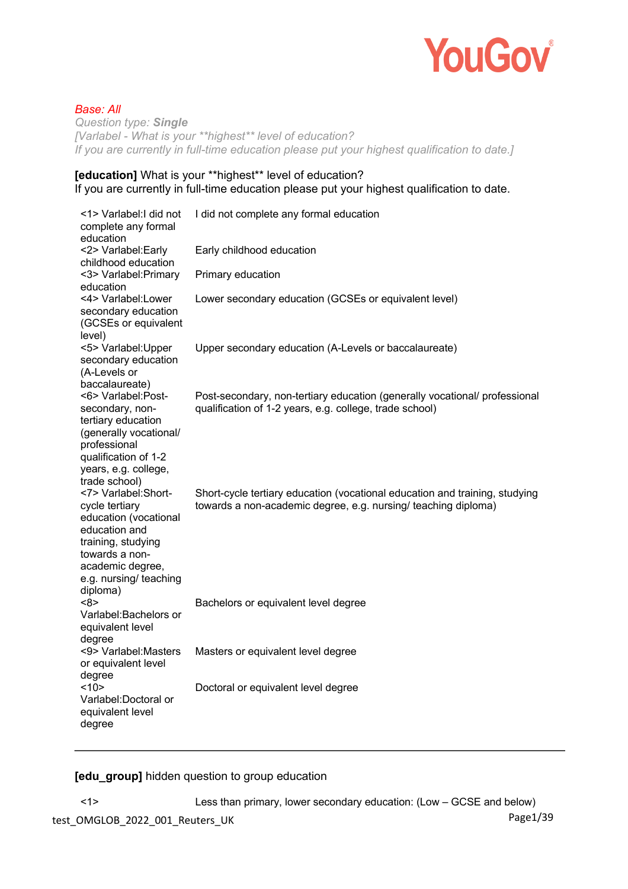

# *Base: All*

*Question type: Single [Varlabel - What is your \*\*highest\*\* level of education? If you are currently in full-time education please put your highest qualification to date.]* 

# **[education]** What is your \*\*highest\*\* level of education? If you are currently in full-time education please put your highest qualification to date.

| <1> Varlabel: I did not<br>complete any formal<br>education                                                                                                                                         | I did not complete any formal education                                                                                                       |
|-----------------------------------------------------------------------------------------------------------------------------------------------------------------------------------------------------|-----------------------------------------------------------------------------------------------------------------------------------------------|
| <2> Varlabel: Early<br>childhood education                                                                                                                                                          | Early childhood education                                                                                                                     |
| <3> Varlabel: Primary<br>education                                                                                                                                                                  | Primary education                                                                                                                             |
| <4> Varlabel:Lower<br>secondary education<br>(GCSEs or equivalent<br>level)                                                                                                                         | Lower secondary education (GCSEs or equivalent level)                                                                                         |
| <5> Varlabel: Upper<br>secondary education<br>(A-Levels or<br>baccalaureate)                                                                                                                        | Upper secondary education (A-Levels or baccalaureate)                                                                                         |
| <6> Varlabel:Post-<br>secondary, non-<br>tertiary education<br>(generally vocational/<br>professional<br>qualification of 1-2<br>years, e.g. college,                                               | Post-secondary, non-tertiary education (generally vocational/ professional<br>qualification of 1-2 years, e.g. college, trade school)         |
| trade school)<br><7> Varlabel: Short-<br>cycle tertiary<br>education (vocational<br>education and<br>training, studying<br>towards a non-<br>academic degree,<br>e.g. nursing/ teaching<br>diploma) | Short-cycle tertiary education (vocational education and training, studying<br>towards a non-academic degree, e.g. nursing/ teaching diploma) |
| <8><br>Varlabel: Bachelors or<br>equivalent level<br>degree                                                                                                                                         | Bachelors or equivalent level degree                                                                                                          |
| <9> Varlabel: Masters<br>or equivalent level<br>degree                                                                                                                                              | Masters or equivalent level degree                                                                                                            |
| <10><br>Varlabel: Doctoral or<br>equivalent level<br>degree                                                                                                                                         | Doctoral or equivalent level degree                                                                                                           |

**[edu\_group]** hidden question to group education

<1> Less than primary, lower secondary education: (Low – GCSE and below)

test\_OMGLOB\_2022\_001\_Reuters\_UK Page1/39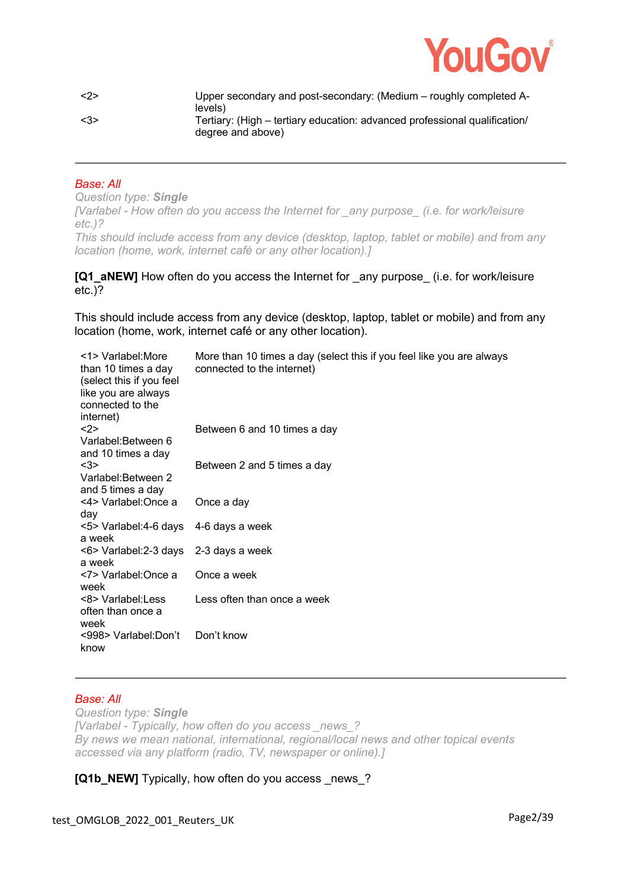

| $\langle 2 \rangle$ | Upper secondary and post-secondary: (Medium – roughly completed A-<br>levels)                   |
|---------------------|-------------------------------------------------------------------------------------------------|
| <3>                 | Tertiary: (High – tertiary education: advanced professional qualification/<br>degree and above) |

# *Base: All*

*Question type: Single [Varlabel - How often do you access the Internet for \_any purpose\_ (i.e. for work/leisure etc.)? This should include access from any device (desktop, laptop, tablet or mobile) and from any location (home, work, internet café or any other location).]* 

### **[Q1\_aNEW]** How often do you access the Internet for any purpose (i.e. for work/leisure etc.)?

This should include access from any device (desktop, laptop, tablet or mobile) and from any location (home, work, internet café or any other location).

| <1> Varlabel: More<br>than 10 times a day<br>(select this if you feel<br>like you are always<br>connected to the<br>internet) | More than 10 times a day (select this if you feel like you are always<br>connected to the internet) |
|-------------------------------------------------------------------------------------------------------------------------------|-----------------------------------------------------------------------------------------------------|
| <2><br>Varlabel:Between 6<br>and 10 times a day                                                                               | Between 6 and 10 times a day                                                                        |
| <3><br>Varlabel: Between 2<br>and 5 times a day                                                                               | Between 2 and 5 times a day                                                                         |
| <4> Varlabel:Once a<br>day                                                                                                    | Once a day                                                                                          |
| <5> Varlabel:4-6 days<br>a week                                                                                               | 4-6 days a week                                                                                     |
| <6> Varlabel:2-3 days<br>a week                                                                                               | 2-3 days a week                                                                                     |
| <7> Varlabel:Once a<br>week                                                                                                   | Once a week                                                                                         |
| <8> Varlabel: Less<br>often than once a<br>week                                                                               | Less often than once a week                                                                         |
| <998> Varlabel:Don't<br>know                                                                                                  | Don't know                                                                                          |

### *Base: All*

*Question type: Single [Varlabel - Typically, how often do you access \_news\_? By news we mean national, international, regional/local news and other topical events accessed via any platform (radio, TV, newspaper or online).]* 

**[Q1b\_NEW]** Typically, how often do you access news ?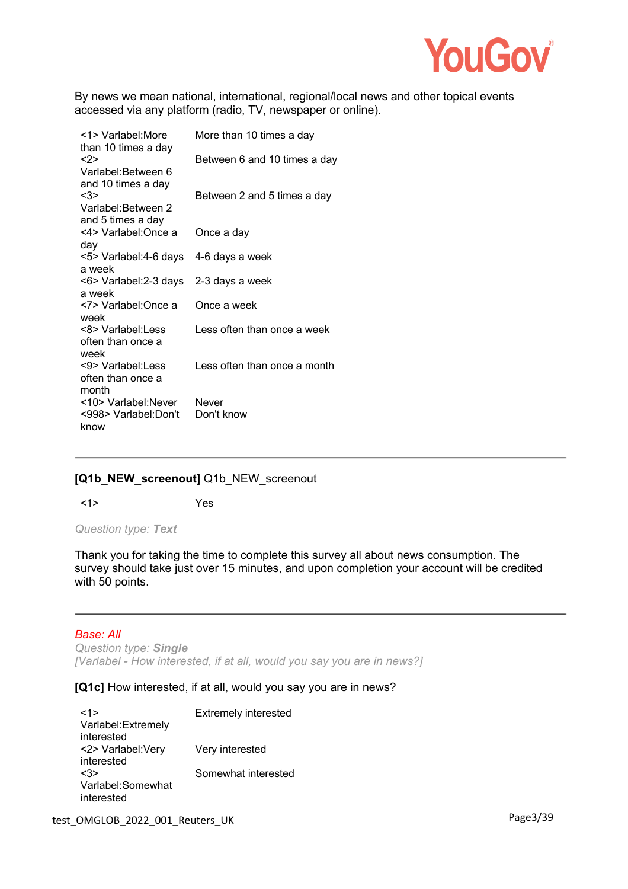

By news we mean national, international, regional/local news and other topical events accessed via any platform (radio, TV, newspaper or online).

| <1> Varlabel: More<br>than 10 times a day           | More than 10 times a day     |
|-----------------------------------------------------|------------------------------|
| $2>$                                                | Between 6 and 10 times a day |
| Varlabel:Between 6<br>and 10 times a day<br><3>     | Between 2 and 5 times a day  |
| Varlabel: Between 2<br>and 5 times a day            |                              |
| <4> Varlabel:Once a<br>day                          | Once a day                   |
| <5> Varlabel:4-6 days<br>a week                     | 4-6 days a week              |
| <6> Varlabel:2-3 days<br>a week                     | 2-3 days a week              |
| <7> Varlabel: Once a<br>week                        | Once a week                  |
| <8> Varlabel: Less<br>often than once a<br>week     | Less often than once a week  |
| <9> Varlabel: Less<br>often than once a<br>month    | Less often than once a month |
| <10> Varlabel:Never<br><998> Varlabel:Don't<br>know | Never<br>Don't know          |

# **[Q1b\_NEW\_screenout]** Q1b\_NEW\_screenout

<1> Yes

*Question type: Text*

Thank you for taking the time to complete this survey all about news consumption. The survey should take just over 15 minutes, and upon completion your account will be credited with 50 points.

#### *Base: All*

*Question type: Single [Varlabel - How interested, if at all, would you say you are in news?]* 

# **[Q1c]** How interested, if at all, would you say you are in news?

| <1>                 | <b>Extremely interested</b> |
|---------------------|-----------------------------|
| Varlabel: Extremely |                             |
| interested          |                             |
| <2> Varlabel: Very  | Very interested             |
| interested          |                             |
| <3>                 | Somewhat interested         |
| Varlabel:Somewhat   |                             |
| interested          |                             |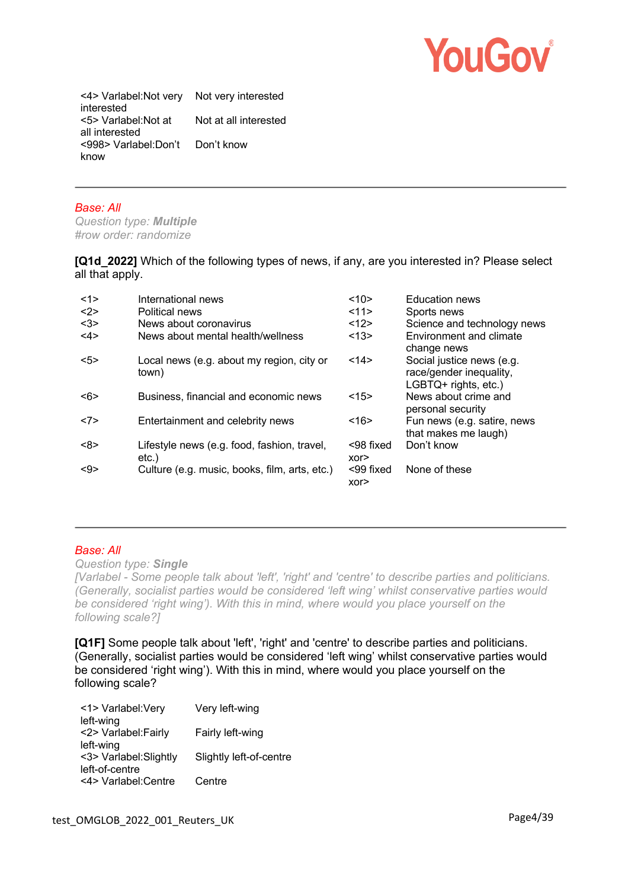

<4> Varlabel:Not very Not very interested interested <5> Varlabel:Not at all interested Not at all interested <998> Varlabel:Don't Don't know know

#### *Base: All*

*Question type: Multiple #row order: randomize*

**[Q1d\_2022]** Which of the following types of news, if any, are you interested in? Please select all that apply.

| <1> | International news                                      | <10>              | <b>Education news</b>                                                        |
|-----|---------------------------------------------------------|-------------------|------------------------------------------------------------------------------|
| <2> | Political news                                          | 11 >              | Sports news                                                                  |
| <3> | News about coronavirus                                  | <12>              | Science and technology news                                                  |
| <4> | News about mental health/wellness                       | <13>              | Environment and climate<br>change news                                       |
| 5   | Local news (e.g. about my region, city or<br>town)      | <14>              | Social justice news (e.g.<br>race/gender inequality,<br>LGBTQ+ rights, etc.) |
| <6> | Business, financial and economic news                   | <15>              | News about crime and<br>personal security                                    |
| <7> | Entertainment and celebrity news                        | <16               | Fun news (e.g. satire, news<br>that makes me laugh)                          |
| <8> | Lifestyle news (e.g. food, fashion, travel,<br>$etc.$ ) | <98 fixed<br>XOT  | Don't know                                                                   |
| <9> | Culture (e.g. music, books, film, arts, etc.)           | <99 fixed<br>xor> | None of these                                                                |

# *Base: All*

*Question type: Single*

*[Varlabel - Some people talk about 'left', 'right' and 'centre' to describe parties and politicians. (Generally, socialist parties would be considered 'left wing' whilst conservative parties would be considered 'right wing'). With this in mind, where would you place yourself on the following scale?]* 

**[Q1F]** Some people talk about 'left', 'right' and 'centre' to describe parties and politicians. (Generally, socialist parties would be considered 'left wing' whilst conservative parties would be considered 'right wing'). With this in mind, where would you place yourself on the following scale?

| Very left-wing          |
|-------------------------|
|                         |
| Fairly left-wing        |
|                         |
| Slightly left-of-centre |
|                         |
| Centre                  |
|                         |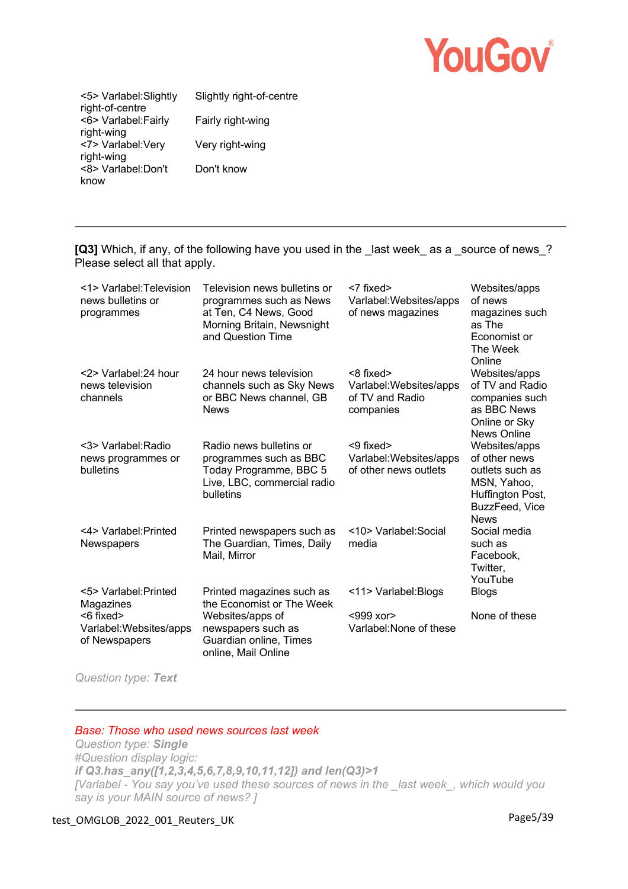

<5> Varlabel:Slightly right-of-centre Slightly right-of-centre <6> Varlabel:Fairly right-wing Fairly right-wing <7> Varlabel:Very right-wing Very right-wing <8> Varlabel:Don't know Don't know

**[Q3]** Which, if any, of the following have you used in the last week as a source of news? Please select all that apply.

| <1> Varlabel: Television<br>news bulletins or<br>programmes | Television news bulletins or<br>programmes such as News<br>at Ten, C4 News, Good<br>Morning Britain, Newsnight<br>and Question Time | <7 fixed><br>Varlabel: Websites/apps<br>of news magazines                 | Websites/apps<br>of news<br>magazines such<br>as The<br>Economist or<br>The Week<br>Online                            |
|-------------------------------------------------------------|-------------------------------------------------------------------------------------------------------------------------------------|---------------------------------------------------------------------------|-----------------------------------------------------------------------------------------------------------------------|
| <2> Varlabel:24 hour<br>news television<br>channels         | 24 hour news television<br>channels such as Sky News<br>or BBC News channel, GB<br><b>News</b>                                      | $<8$ fixed $>$<br>Varlabel: Websites/apps<br>of TV and Radio<br>companies | Websites/apps<br>of TV and Radio<br>companies such<br>as BBC News<br>Online or Sky<br>News Online                     |
| <3> Varlabel: Radio<br>news programmes or<br>bulletins      | Radio news bulletins or<br>programmes such as BBC<br>Today Programme, BBC 5<br>Live, LBC, commercial radio<br>bulletins             | <9 fixed><br>Varlabel: Websites/apps<br>of other news outlets             | Websites/apps<br>of other news<br>outlets such as<br>MSN, Yahoo,<br>Huffington Post,<br>BuzzFeed, Vice<br><b>News</b> |
| <4> Varlabel: Printed<br>Newspapers                         | Printed newspapers such as<br>The Guardian, Times, Daily<br>Mail, Mirror                                                            | <10> Varlabel: Social<br>media                                            | Social media<br>such as<br>Facebook,<br>Twitter,<br>YouTube                                                           |
| <5> Varlabel: Printed<br>Magazines                          | Printed magazines such as<br>the Economist or The Week                                                                              | <11> Varlabel: Blogs                                                      | <b>Blogs</b>                                                                                                          |
| $<$ 6 fixed $>$<br>Varlabel: Websites/apps<br>of Newspapers | Websites/apps of<br>newspapers such as<br>Guardian online, Times<br>online, Mail Online                                             | <999 xor><br>Varlabel: None of these                                      | None of these                                                                                                         |

*Question type: Text*

#### *Base: Those who used news sources last week*

*Question type: Single #Question display logic: if Q3.has\_any([1,2,3,4,5,6,7,8,9,10,11,12]) and len(Q3)>1 [Varlabel - You say you've used these sources of news in the \_last week\_, which would you say is your MAIN source of news? ]* 

# test\_OMGLOB\_2022\_001\_Reuters\_UK Page5/39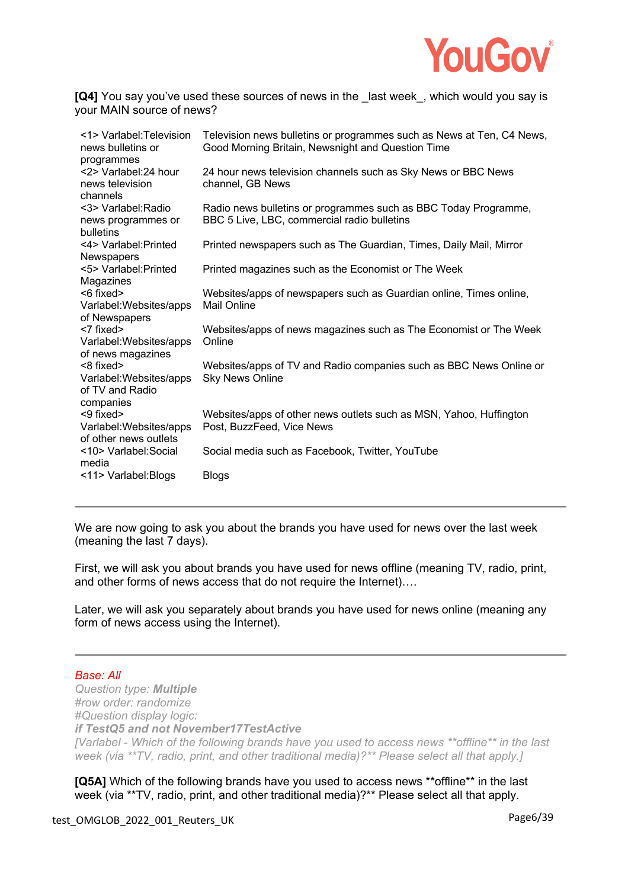

**[Q4]** You say you've used these sources of news in the last week, which would you say is your MAIN source of news?

| <1> Varlabel: Television<br>news bulletins or                             | Television news bulletins or programmes such as News at Ten, C4 News,<br>Good Morning Britain, Newsnight and Question Time |
|---------------------------------------------------------------------------|----------------------------------------------------------------------------------------------------------------------------|
| programmes<br><2> Varlabel:24 hour<br>news television                     | 24 hour news television channels such as Sky News or BBC News<br>channel, GB News                                          |
| channels<br><3> Varlabel: Radio<br>news programmes or                     | Radio news bulletins or programmes such as BBC Today Programme,<br>BBC 5 Live, LBC, commercial radio bulletins             |
| bulletins<br><4> Varlabel: Printed                                        | Printed newspapers such as The Guardian, Times, Daily Mail, Mirror                                                         |
| <b>Newspapers</b><br><5> Varlabel: Printed                                | Printed magazines such as the Economist or The Week                                                                        |
| Magazines<br>$<$ 6 fixed $>$                                              | Websites/apps of newspapers such as Guardian online, Times online,                                                         |
| Varlabel: Websites/apps<br>of Newspapers                                  | <b>Mail Online</b>                                                                                                         |
| $<$ 7 fixed $>$<br>Varlabel: Websites/apps<br>of news magazines           | Websites/apps of news magazines such as The Economist or The Week<br>Online                                                |
| $<8$ fixed $>$<br>Varlabel: Websites/apps<br>of TV and Radio<br>companies | Websites/apps of TV and Radio companies such as BBC News Online or<br><b>Sky News Online</b>                               |
| <9 fixed><br>Varlabel: Websites/apps<br>of other news outlets             | Websites/apps of other news outlets such as MSN, Yahoo, Huffington<br>Post, BuzzFeed, Vice News                            |
| <10> Varlabel: Social<br>media                                            | Social media such as Facebook, Twitter, YouTube                                                                            |
| <11> Varlabel: Blogs                                                      | <b>Blogs</b>                                                                                                               |

We are now going to ask you about the brands you have used for news over the last week (meaning the last 7 days).

First, we will ask you about brands you have used for news offline (meaning TV, radio, print, and other forms of news access that do not require the Internet)….

Later, we will ask you separately about brands you have used for news online (meaning any form of news access using the Internet).

# *Base: All*

*Question type: Multiple #row order: randomize #Question display logic: if TestQ5 and not November17TestActive [Varlabel - Which of the following brands have you used to access news \*\*offline\*\* in the last week (via \*\*TV, radio, print, and other traditional media)?\*\* Please select all that apply.]* 

**[Q5A]** Which of the following brands have you used to access news \*\*offline\*\* in the last week (via \*\*TV, radio, print, and other traditional media)?\*\* Please select all that apply.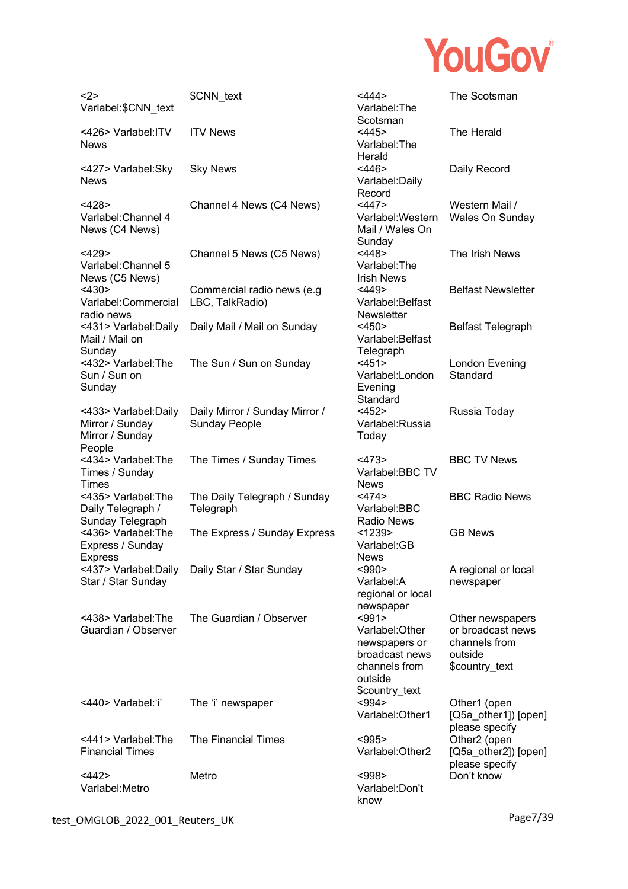

| $2$<br>Varlabel:\$CNN_text                                            | \$CNN_text                                             | $<$ 444><br>Varlabel: The                                                                                 | The Scotsman                                                                        |
|-----------------------------------------------------------------------|--------------------------------------------------------|-----------------------------------------------------------------------------------------------------------|-------------------------------------------------------------------------------------|
| <426> Varlabel: ITV<br><b>News</b>                                    | <b>ITV News</b>                                        | Scotsman<br>$<$ 445><br>Varlabel: The<br>Herald                                                           | The Herald                                                                          |
| <427> Varlabel:Sky<br><b>News</b>                                     | <b>Sky News</b>                                        | $<$ 446><br>Varlabel: Daily<br>Record                                                                     | Daily Record                                                                        |
| <428><br>Varlabel: Channel 4<br>News (C4 News)                        | Channel 4 News (C4 News)                               | <447><br>Varlabel: Western<br>Mail / Wales On<br>Sunday                                                   | Western Mail /<br>Wales On Sunday                                                   |
| <429<br>Varlabel: Channel 5<br>News (C5 News)                         | Channel 5 News (C5 News)                               | <448><br>Varlabel: The<br><b>Irish News</b>                                                               | The Irish News                                                                      |
| $<$ 430><br>Varlabel:Commercial<br>radio news                         | Commercial radio news (e.g<br>LBC, TalkRadio)          | <449><br>Varlabel: Belfast<br><b>Newsletter</b>                                                           | <b>Belfast Newsletter</b>                                                           |
| <431> Varlabel: Daily<br>Mail / Mail on<br>Sunday                     | Daily Mail / Mail on Sunday                            | $<$ 450><br>Varlabel: Belfast<br>Telegraph                                                                | <b>Belfast Telegraph</b>                                                            |
| <432> Varlabel: The<br>Sun / Sun on<br>Sunday                         | The Sun / Sun on Sunday                                | $<$ 451><br>Varlabel:London<br>Evening<br>Standard                                                        | London Evening<br>Standard                                                          |
| <433> Varlabel: Daily<br>Mirror / Sunday<br>Mirror / Sunday<br>People | Daily Mirror / Sunday Mirror /<br><b>Sunday People</b> | $<$ 452><br>Varlabel:Russia<br>Today                                                                      | Russia Today                                                                        |
| <434> Varlabel: The<br>Times / Sunday<br>Times                        | The Times / Sunday Times                               | $<$ 473><br>Varlabel:BBC TV<br><b>News</b>                                                                | <b>BBC TV News</b>                                                                  |
| <435> Varlabel: The<br>Daily Telegraph /<br>Sunday Telegraph          | The Daily Telegraph / Sunday<br>Telegraph              | $<$ 474 $>$<br>Varlabel:BBC<br><b>Radio News</b>                                                          | <b>BBC Radio News</b>                                                               |
| <436> Varlabel: The<br>Express / Sunday<br><b>Express</b>             | The Express / Sunday Express                           | < 1239<br>Varlabel:GB<br><b>News</b>                                                                      | <b>GB News</b>                                                                      |
| <437> Varlabel:Daily<br>Star / Star Sunday                            | Daily Star / Star Sunday                               | $990$<br>Varlabel:A<br>regional or local<br>newspaper                                                     | A regional or local<br>newspaper                                                    |
| <438> Varlabel: The<br>Guardian / Observer                            | The Guardian / Observer                                | $991$<br>Varlabel: Other<br>newspapers or<br>broadcast news<br>channels from<br>outside<br>\$country_text | Other newspapers<br>or broadcast news<br>channels from<br>outside<br>\$country_text |
| <440> Varlabel:'i'                                                    | The 'i' newspaper                                      | $994>$<br>Varlabel: Other1                                                                                | Other1 (open<br>[Q5a_other1]) [open]<br>please specify                              |
| <441> Varlabel: The<br><b>Financial Times</b>                         | The Financial Times                                    | $995$<br>Varlabel: Other 2                                                                                | Other <sub>2</sub> (open<br>[Q5a_other2]) [open]<br>please specify                  |
| $<$ 442><br>Varlabel: Metro                                           | Metro                                                  | $998$<br>Varlabel:Don't<br>know                                                                           | Don't know                                                                          |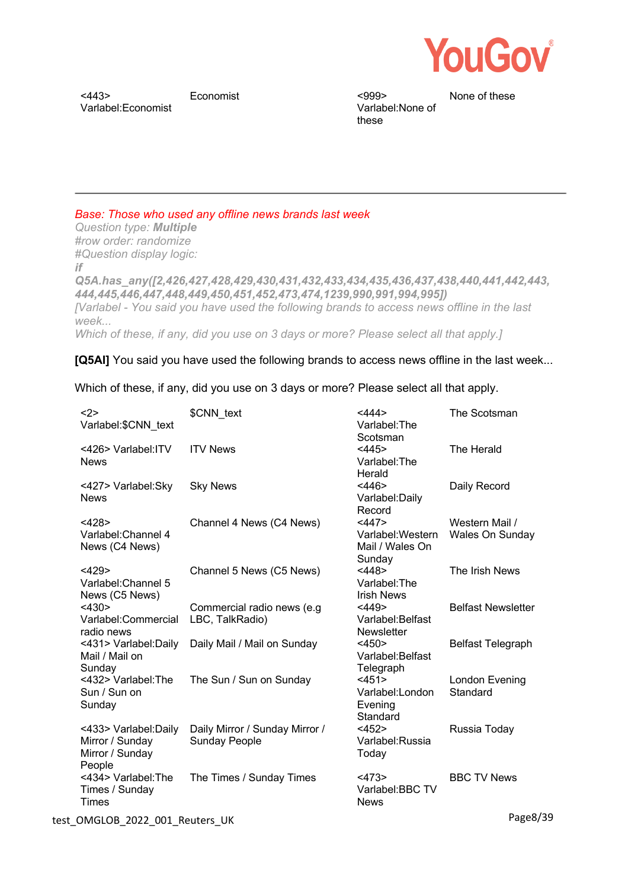

 $<$ 443> Varlabel:Economist Economist <999>

Varlabel:None of these

None of these

*Base: Those who used any offline news brands last week*

*Question type: Multiple #row order: randomize #Question display logic: if Q5A.has\_any([2,426,427,428,429,430,431,432,433,434,435,436,437,438,440,441,442,443, 444,445,446,447,448,449,450,451,452,473,474,1239,990,991,994,995]) [Varlabel - You said you have used the following brands to access news offline in the last week...*

*Which of these, if any, did you use on 3 days or more? Please select all that apply.]* 

**[Q5AI]** You said you have used the following brands to access news offline in the last week...

Which of these, if any, did you use on 3 days or more? Please select all that apply.

| $2$<br>Varlabel:\$CNN text                                            | \$CNN text                                             | <444><br>Varlabel: The<br>Scotsman                      | The Scotsman                             |
|-----------------------------------------------------------------------|--------------------------------------------------------|---------------------------------------------------------|------------------------------------------|
| <426> Varlabel: ITV<br><b>News</b>                                    | <b>ITV News</b>                                        | $<$ 445><br>Varlabel: The<br>Herald                     | The Herald                               |
| <427> Varlabel:Sky<br><b>News</b>                                     | <b>Sky News</b>                                        | $<$ 446><br>Varlabel: Daily<br>Record                   | Daily Record                             |
| <428><br>Varlabel: Channel 4<br>News (C4 News)                        | Channel 4 News (C4 News)                               | <447><br>Varlabel: Western<br>Mail / Wales On<br>Sunday | Western Mail /<br><b>Wales On Sunday</b> |
| <429<br>Varlabel: Channel 5<br>News (C5 News)                         | Channel 5 News (C5 News)                               | <448><br>Varlabel: The<br><b>Irish News</b>             | The Irish News                           |
| <430><br>Varlabel:Commercial<br>radio news                            | Commercial radio news (e.g.<br>LBC, TalkRadio)         | $<$ 449><br>Varlabel: Belfast<br><b>Newsletter</b>      | <b>Belfast Newsletter</b>                |
| <431> Varlabel: Daily<br>Mail / Mail on<br>Sunday                     | Daily Mail / Mail on Sunday                            | $<$ 450><br>Varlabel: Belfast<br>Telegraph              | <b>Belfast Telegraph</b>                 |
| <432> Varlabel: The<br>Sun / Sun on<br>Sunday                         | The Sun / Sun on Sunday                                | <451><br>Varlabel:London<br>Evening<br>Standard         | London Evening<br>Standard               |
| <433> Varlabel: Daily<br>Mirror / Sunday<br>Mirror / Sunday<br>People | Daily Mirror / Sunday Mirror /<br><b>Sunday People</b> | <452><br>Varlabel:Russia<br>Today                       | Russia Today                             |
| <434> Varlabel: The<br>Times / Sunday<br><b>Times</b>                 | The Times / Sunday Times                               | $<$ 473><br>Varlabel:BBC TV<br><b>News</b>              | <b>BBC TV News</b>                       |
| test_OMGLOB_2022_001_Reuters_UK                                       |                                                        |                                                         | Page8/39                                 |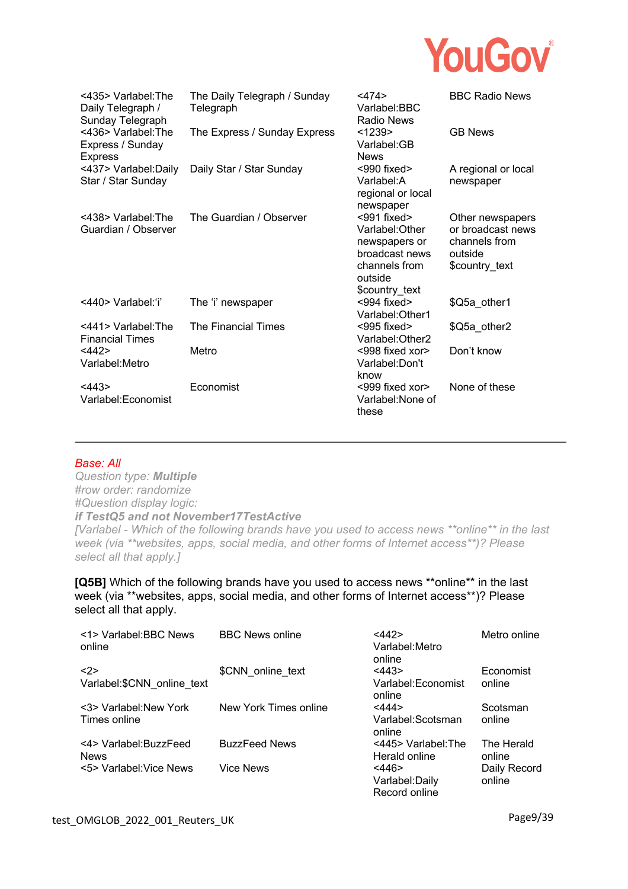

| <435> Varlabel: The<br>Daily Telegraph /<br>Sunday Telegraph | The Daily Telegraph / Sunday<br>Telegraph | $<$ 474 $>$<br>Varlabel:BBC<br><b>Radio News</b>                                                                 | <b>BBC Radio News</b>                                                               |
|--------------------------------------------------------------|-------------------------------------------|------------------------------------------------------------------------------------------------------------------|-------------------------------------------------------------------------------------|
| <436> Varlabel: The<br>Express / Sunday<br><b>Express</b>    | The Express / Sunday Express              | < 1239<br>Varlabel:GB<br><b>News</b>                                                                             | <b>GB News</b>                                                                      |
| <437> Varlabel: Daily<br>Star / Star Sunday                  | Daily Star / Star Sunday                  | $<$ 990 fixed $>$<br>Varlabel:A<br>regional or local<br>newspaper                                                | A regional or local<br>newspaper                                                    |
| <438> Varlabel: The<br>Guardian / Observer                   | The Guardian / Observer                   | $991$ fixed><br>Varlabel: Other<br>newspapers or<br>broadcast news<br>channels from<br>outside<br>\$country text | Other newspapers<br>or broadcast news<br>channels from<br>outside<br>\$country_text |
| <440> Varlabel:'i'                                           | The 'i' newspaper                         | $<$ 994 fixed><br>Varlabel: Other1                                                                               | \$Q5a other1                                                                        |
| <441> Varlabel: The<br><b>Financial Times</b>                | The Financial Times                       | $<$ 995 fixed $>$<br>Varlabel: Other2                                                                            | \$Q5a other2                                                                        |
| <442><br>Varlabel: Metro                                     | Metro                                     | <998 fixed xor><br>Varlabel:Don't<br>know                                                                        | Don't know                                                                          |
| $<$ 443><br>Varlabel:Economist                               | Economist                                 | <999 fixed xor><br>Varlabel:None of<br>these                                                                     | None of these                                                                       |

#### *Base: All*

*Question type: Multiple #row order: randomize #Question display logic: if TestQ5 and not November17TestActive* 

*[Varlabel - Which of the following brands have you used to access news \*\*online\*\* in the last week (via \*\*websites, apps, social media, and other forms of Internet access\*\*)? Please select all that apply.]* 

**[Q5B]** Which of the following brands have you used to access news \*\*online\*\* in the last week (via \*\*websites, apps, social media, and other forms of Internet access\*\*)? Please select all that apply.

| <1> Varlabel: BBC News<br>online       | <b>BBC News online</b> | <442><br>Varlabel: Metro<br>online              | Metro online           |
|----------------------------------------|------------------------|-------------------------------------------------|------------------------|
| <2><br>Varlabel:\$CNN online text      | \$CNN online text      | $<$ 443><br>Varlabel:Economist                  | Economist<br>online    |
|                                        |                        | online                                          |                        |
| <3> Varlabel: New York<br>Times online | New York Times online  | <444><br>Varlabel: Scotsman                     | Scotsman<br>online     |
| <4> Varlabel: BuzzFeed<br><b>News</b>  | <b>BuzzFeed News</b>   | online<br><445> Varlabel: The<br>Herald online  | The Herald<br>online   |
| <5> Varlabel: Vice News                | <b>Vice News</b>       | $<$ 446 $>$<br>Varlabel: Daily<br>Record online | Daily Record<br>online |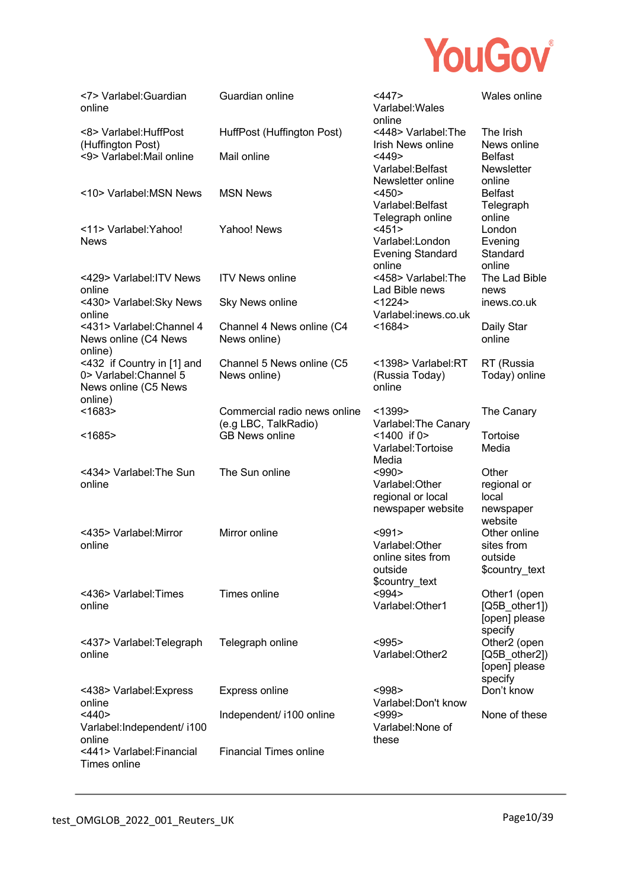

| <7> Varlabel: Guardian<br>online                                                        | Guardian online                                      | <447><br>Varlabel: Wales<br>online                                                | Wales online                                                                     |
|-----------------------------------------------------------------------------------------|------------------------------------------------------|-----------------------------------------------------------------------------------|----------------------------------------------------------------------------------|
| <8> Varlabel: HuffPost<br>(Huffington Post)                                             | HuffPost (Huffington Post)                           | <448> Varlabel: The<br>Irish News online                                          | The Irish<br>News online                                                         |
| <9> Varlabel: Mail online                                                               | Mail online                                          | $<$ 449><br>Varlabel: Belfast<br>Newsletter online                                | <b>Belfast</b><br>Newsletter<br>online                                           |
| <10> Varlabel:MSN News                                                                  | <b>MSN News</b>                                      | $<$ 450 $>$<br>Varlabel: Belfast                                                  | <b>Belfast</b><br>Telegraph                                                      |
| <11> Varlabel: Yahoo!<br><b>News</b>                                                    | Yahoo! News                                          | Telegraph online<br><451><br>Varlabel:London<br><b>Evening Standard</b><br>online | online<br>London<br>Evening<br>Standard<br>online                                |
| <429> Varlabel: ITV News<br>online                                                      | <b>ITV News online</b>                               | <458> Varlabel: The<br>Lad Bible news                                             | The Lad Bible<br>news                                                            |
| <430> Varlabel: Sky News<br>online                                                      | <b>Sky News online</b>                               | <1224><br>Varlabel:inews.co.uk                                                    | inews.co.uk                                                                      |
| <431> Varlabel: Channel 4<br>News online (C4 News<br>online)                            | Channel 4 News online (C4<br>News online)            | < 1684 >                                                                          | Daily Star<br>online                                                             |
| <432 if Country in [1] and<br>0> Varlabel: Channel 5<br>News online (C5 News<br>online) | Channel 5 News online (C5<br>News online)            | <1398> Varlabel:RT<br>(Russia Today)<br>online                                    | RT (Russia<br>Today) online                                                      |
| < 1683                                                                                  | Commercial radio news online<br>(e.g LBC, TalkRadio) | < 1399<br>Varlabel: The Canary                                                    | The Canary                                                                       |
| $<$ 1685>                                                                               | <b>GB News online</b>                                | $<$ 1400 if 0 $>$<br>Varlabel: Tortoise<br>Media                                  | Tortoise<br>Media                                                                |
| <434> Varlabel: The Sun<br>online                                                       | The Sun online                                       | $990$<br>Varlabel: Other<br>regional or local<br>newspaper website                | Other<br>regional or<br>local<br>newspaper<br>website                            |
| <435> Varlabel: Mirror<br>online                                                        | Mirror online                                        | < 991<br>Varlabel: Other<br>online sites from<br>outside<br>\$country_text        | Other online<br>sites from<br>outside<br>\$country_text                          |
| <436> Varlabel: Times<br>online                                                         | Times online                                         | $994>$<br>Varlabel: Other1                                                        | Other1 (open<br>$[Q5B_{other1}]$<br>[open] please                                |
| <437> Varlabel: Telegraph<br>online                                                     | Telegraph online                                     | $995$<br>Varlabel: Other2                                                         | specify<br>Other <sub>2</sub> (open<br>[Q5B other2])<br>[open] please<br>specify |
| <438> Varlabel: Express<br>online                                                       | Express online                                       | $998$<br>Varlabel: Don't know                                                     | Don't know                                                                       |
| $<$ 440><br>Varlabel:Independent/ i100<br>online                                        | Independent/ i100 online                             | $999$<br>Varlabel: None of<br>these                                               | None of these                                                                    |
| <441> Varlabel:Financial<br>Times online                                                | <b>Financial Times online</b>                        |                                                                                   |                                                                                  |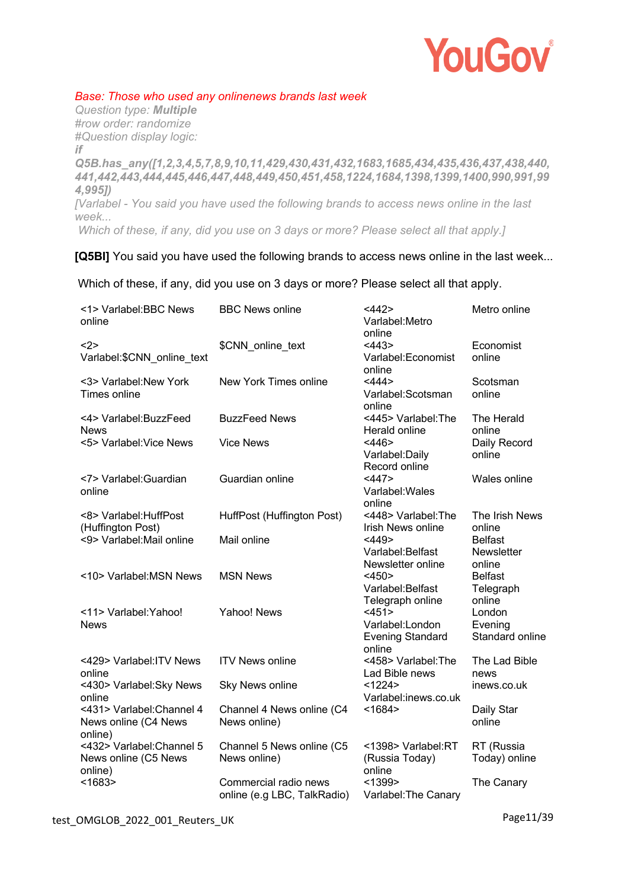

### *Base: Those who used any onlinenews brands last week*

*Question type: Multiple #row order: randomize #Question display logic: if Q5B.has\_any([1,2,3,4,5,7,8,9,10,11,429,430,431,432,1683,1685,434,435,436,437,438,440, 441,442,443,444,445,446,447,448,449,450,451,458,1224,1684,1398,1399,1400,990,991,99 4,995]) [Varlabel - You said you have used the following brands to access news online in the last week... Which of these, if any, did you use on 3 days or more? Please select all that apply.]* 

### **[Q5BI]** You said you have used the following brands to access news online in the last week...

Which of these, if any, did you use on 3 days or more? Please select all that apply.

| <1> Varlabel:BBC News<br>online                              | <b>BBC News online</b>                               | <442><br>Varlabel: Metro<br>online                            | Metro online                                  |
|--------------------------------------------------------------|------------------------------------------------------|---------------------------------------------------------------|-----------------------------------------------|
| <2><br>Varlabel:\$CNN_online_text                            | \$CNN_online_text                                    | $<$ 443><br>Varlabel:Economist<br>online                      | Economist<br>online                           |
| <3> Varlabel: New York<br>Times online                       | New York Times online                                | <444><br>Varlabel:Scotsman<br>online                          | Scotsman<br>online                            |
| <4> Varlabel: BuzzFeed<br><b>News</b>                        | <b>BuzzFeed News</b>                                 | <445> Varlabel: The<br>Herald online                          | The Herald<br>online                          |
| <5> Varlabel: Vice News                                      | <b>Vice News</b>                                     | $<$ 446><br>Varlabel: Daily<br>Record online                  | Daily Record<br>online                        |
| <7> Varlabel: Guardian<br>online                             | Guardian online                                      | <447><br>Varlabel: Wales<br>online                            | Wales online                                  |
| <8> Varlabel: HuffPost<br>(Huffington Post)                  | HuffPost (Huffington Post)                           | <448> Varlabel: The<br>Irish News online                      | The Irish News<br>online                      |
| <9> Varlabel: Mail online                                    | Mail online                                          | <449<br>Varlabel:Belfast<br>Newsletter online                 | <b>Belfast</b><br><b>Newsletter</b><br>online |
| <10> Varlabel: MSN News                                      | <b>MSN News</b>                                      | $<$ 450 $>$<br>Varlabel: Belfast<br>Telegraph online          | <b>Belfast</b><br>Telegraph<br>online         |
| <11> Varlabel: Yahoo!<br><b>News</b>                         | Yahoo! News                                          | <451><br>Varlabel:London<br><b>Evening Standard</b><br>online | London<br>Evening<br>Standard online          |
| <429> Varlabel: ITV News<br>online                           | <b>ITV News online</b>                               | <458> Varlabel: The<br>Lad Bible news                         | The Lad Bible<br>news                         |
| <430> Varlabel: Sky News<br>online                           | Sky News online                                      | <1224><br>Varlabel:inews.co.uk                                | inews.co.uk                                   |
| <431> Varlabel: Channel 4<br>News online (C4 News<br>online) | Channel 4 News online (C4<br>News online)            | < 1684 >                                                      | Daily Star<br>online                          |
| <432> Varlabel: Channel 5<br>News online (C5 News<br>online) | Channel 5 News online (C5<br>News online)            | <1398> Varlabel:RT<br>(Russia Today)<br>online                | RT (Russia<br>Today) online                   |
| < 1683                                                       | Commercial radio news<br>online (e.g LBC, TalkRadio) | < 1399<br>Varlabel: The Canary                                | The Canary                                    |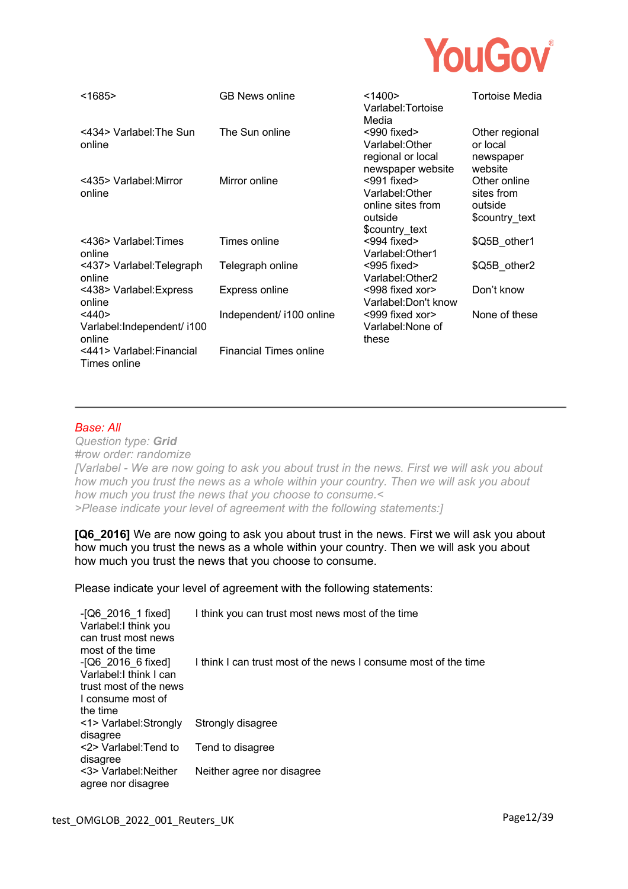

| < 1685                                            | <b>GB News online</b>         | < 1400<br>Varlabel:Tortoise<br>Media                                                  | Tortoise Media                                          |
|---------------------------------------------------|-------------------------------|---------------------------------------------------------------------------------------|---------------------------------------------------------|
| <434> Varlabel: The Sun<br>online                 | The Sun online                | $<$ 990 fixed $>$<br>Varlabel: Other<br>regional or local<br>newspaper website        | Other regional<br>or local<br>newspaper<br>website      |
| <435> Varlabel: Mirror<br>online                  | Mirror online                 | $<$ 991 fixed $>$<br>Varlabel:Other<br>online sites from<br>outside<br>\$country_text | Other online<br>sites from<br>outside<br>\$country text |
| <436> Varlabel: Times<br>online                   | Times online                  | $<$ 994 fixed $>$<br>Varlabel: Other1                                                 | \$Q5B other1                                            |
| <437> Varlabel: Telegraph<br>online               | Telegraph online              | $<$ 995 fixed $>$<br>Varlabel:Other2                                                  | \$Q5B other2                                            |
| <438> Varlabel: Express<br>online                 | <b>Express online</b>         | <998 fixed xor><br>Varlabel:Don't know                                                | Don't know                                              |
| $<$ 440><br>Varlabel: Independent/ i100<br>online | Independent/ i100 online      | <999 fixed xor><br>Varlabel: None of<br>these                                         | None of these                                           |
| <441> Varlabel:Financial<br>Times online          | <b>Financial Times online</b> |                                                                                       |                                                         |

#### *Base: All*

*Question type: Grid #row order: randomize [Varlabel - We are now going to ask you about trust in the news. First we will ask you about how much you trust the news as a whole within your country. Then we will ask you about how much you trust the news that you choose to consume.< >Please indicate your level of agreement with the following statements:]* 

**[Q6\_2016]** We are now going to ask you about trust in the news. First we will ask you about how much you trust the news as a whole within your country. Then we will ask you about how much you trust the news that you choose to consume.

Please indicate your level of agreement with the following statements:

| $-[Q6 \t2016 \t1 fixed]$<br>Varlabel: I think you<br>can trust most news | I think you can trust most news most of the time                |
|--------------------------------------------------------------------------|-----------------------------------------------------------------|
| most of the time                                                         |                                                                 |
| $-[Q6 \t2016 \t6$ fixed]<br>Varlabel: I think I can                      | I think I can trust most of the news I consume most of the time |
| trust most of the news<br>I consume most of                              |                                                                 |
| the time                                                                 |                                                                 |
| <1> Varlabel: Strongly                                                   | Strongly disagree                                               |
| disagree                                                                 |                                                                 |
| <2> Varlabel: Tend to<br>disagree                                        | Tend to disagree                                                |
| <3> Varlabel: Neither<br>agree nor disagree                              | Neither agree nor disagree                                      |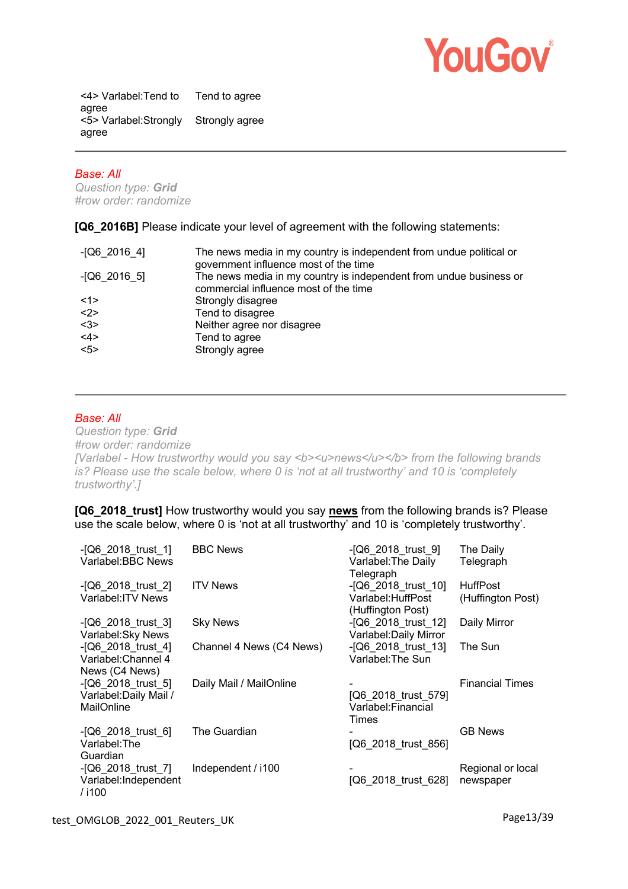

<4> Varlabel:Tend to agree Tend to agree <5> Varlabel:Strongly Strongly agree agree

#### *Base: All*

*Question type: Grid #row order: randomize*

**[Q6\_2016B]** Please indicate your level of agreement with the following statements:

| $-[Q6 2016 4]$ | The news media in my country is independent from undue political or<br>government influence most of the time |
|----------------|--------------------------------------------------------------------------------------------------------------|
| $-[Q6 2016 5]$ | The news media in my country is independent from undue business or<br>commercial influence most of the time  |
| <1>            | Strongly disagree                                                                                            |
| <2>            | Tend to disagree                                                                                             |
| <3>            | Neither agree nor disagree                                                                                   |
| <4>            | Tend to agree                                                                                                |
| 55             | Strongly agree                                                                                               |

# *Base: All*

*Question type: Grid #row order: randomize [Varlabel - How trustworthy would you say <b><u>news</u></b> from the following brands is? Please use the scale below, where 0 is 'not at all trustworthy' and 10 is 'completely trustworthy'.]* 

**[Q6\_2018\_trust]** How trustworthy would you say **news** from the following brands is? Please use the scale below, where 0 is 'not at all trustworthy' and 10 is 'completely trustworthy'.

| $-[Q6 2018$ trust 1]<br>Varlabel: BBC News                     | <b>BBC News</b>          | $-[Q6 2018$ trust 9]<br>Varlabel: The Daily<br>Telegraph          | The Daily<br>Telegraph               |
|----------------------------------------------------------------|--------------------------|-------------------------------------------------------------------|--------------------------------------|
| $-[Q6 2018$ trust 2]<br>Varlabel: ITV News                     | <b>ITV News</b>          | $-$ [Q6_2018_trust_10]<br>Varlabel: HuffPost<br>(Huffington Post) | <b>HuffPost</b><br>(Huffington Post) |
| $-[Q6_2018_1xus1_3]$<br>Varlabel: Sky News                     | <b>Sky News</b>          | -[Q6_2018_trust_12]<br>Varlabel: Daily Mirror                     | Daily Mirror                         |
| $-$ [Q6_2018_trust_4]<br>Varlabel: Channel 4<br>News (C4 News) | Channel 4 News (C4 News) | $-$ [Q6 2018 trust 13]<br>Varlabel: The Sun                       | The Sun                              |
| -[Q6 2018_trust_5]<br>Varlabel: Daily Mail /<br>MailOnline     | Daily Mail / MailOnline  | [Q6 2018 trust 579]<br>Varlabel: Financial<br>Times               | <b>Financial Times</b>               |
| $-[Q6 2018$ trust 6]<br>Varlabel: The<br>Guardian              | The Guardian             | [Q6_2018_trust_856]                                               | <b>GB News</b>                       |
| -[Q6_2018_trust_7]<br>Varlabel:Independent<br>/i100            | Independent / i100       | [Q6_2018_trust_628]                                               | Regional or local<br>newspaper       |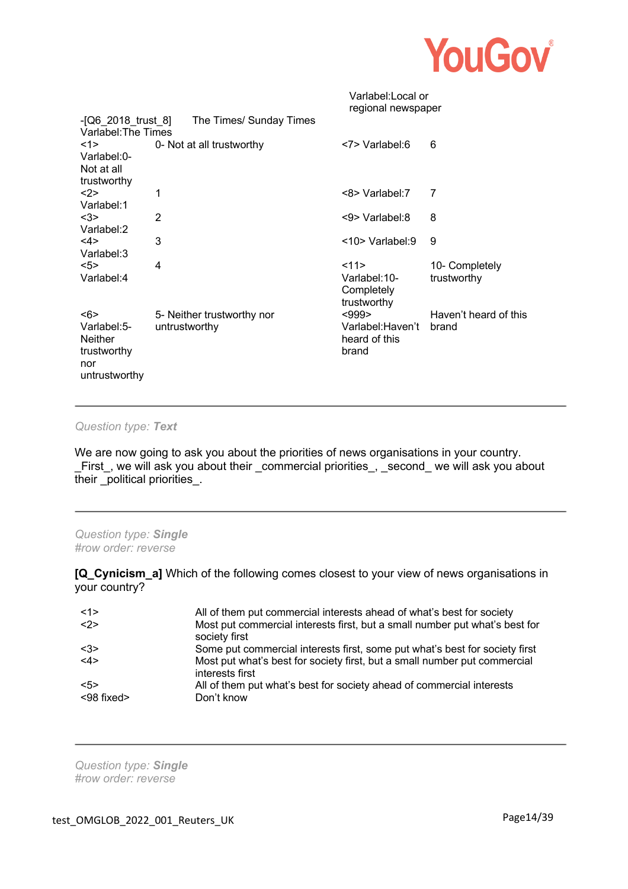

|                                                                             |                                             | Varlabel:Local or<br>regional newspaper             |                                |
|-----------------------------------------------------------------------------|---------------------------------------------|-----------------------------------------------------|--------------------------------|
| $- [Q6 \ 2018 \ \text{trust} \ 8]$<br>Varlabel: The Times                   | The Times/ Sunday Times                     |                                                     |                                |
| <1><br>Varlabel:0-<br>Not at all<br>trustworthy                             | 0- Not at all trustworthy                   | <7> Varlabel:6                                      | 6                              |
| $2$<br>Varlabel:1                                                           | 1                                           | <8> Varlabel:7                                      | 7                              |
| $3$<br>Varlabel:2                                                           | 2                                           | <9> Varlabel:8                                      | 8                              |
| <4><br>Varlabel:3                                                           | 3                                           | $<$ 10> Varlabel:9                                  | 9                              |
| 5<br>Varlabel:4                                                             | 4                                           | 11<br>Varlabel:10-<br>Completely<br>trustworthy     | 10- Completely<br>trustworthy  |
| <6><br>Varlabel:5-<br><b>Neither</b><br>trustworthy<br>nor<br>untrustworthy | 5- Neither trustworthy nor<br>untrustworthy | $999$<br>Varlabel:Haven't<br>heard of this<br>brand | Haven't heard of this<br>brand |

#### *Question type: Text*

We are now going to ask you about the priorities of news organisations in your country. \_First\_, we will ask you about their \_commercial priorities\_, \_second\_ we will ask you about their \_political priorities\_.

*Question type: Single #row order: reverse*

**[Q\_Cynicism\_a]** Which of the following comes closest to your view of news organisations in your country?

| <1>        | All of them put commercial interests ahead of what's best for society                        |
|------------|----------------------------------------------------------------------------------------------|
| <2>        | Most put commercial interests first, but a small number put what's best for<br>society first |
| $3$        | Some put commercial interests first, some put what's best for society first                  |
| <4>        | Most put what's best for society first, but a small number put commercial<br>interests first |
| 55         | All of them put what's best for society ahead of commercial interests                        |
| <98 fixed> | Don't know                                                                                   |

*Question type: Single #row order: reverse*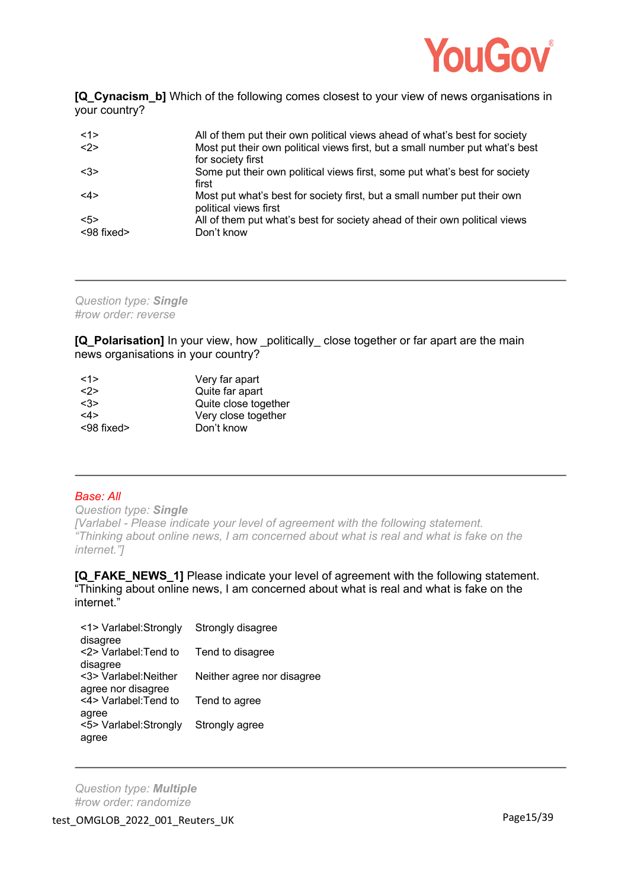

**[Q\_Cynacism\_b]** Which of the following comes closest to your view of news organisations in your country?

| <1>        | All of them put their own political views ahead of what's best for society                        |
|------------|---------------------------------------------------------------------------------------------------|
| <2>        | Most put their own political views first, but a small number put what's best<br>for society first |
| <3>        | Some put their own political views first, some put what's best for society<br>first               |
| $<$ 4>     | Most put what's best for society first, but a small number put their own<br>political views first |
| 5>         | All of them put what's best for society ahead of their own political views                        |
| <98 fixed> | Don't know                                                                                        |

*Question type: Single #row order: reverse*

**[Q\_Polarisation]** In your view, how politically close together or far apart are the main news organisations in your country?

| Very far apart       |
|----------------------|
| Quite far apart      |
| Quite close together |
| Very close together  |
| Don't know           |
|                      |

# *Base: All*

*Question type: Single [Varlabel - Please indicate your level of agreement with the following statement. "Thinking about online news, I am concerned about what is real and what is fake on the internet."]* 

**[Q\_FAKE\_NEWS\_1]** Please indicate your level of agreement with the following statement. "Thinking about online news, I am concerned about what is real and what is fake on the internet."

| <1> Varlabel:Strongly  | Strongly disagree          |
|------------------------|----------------------------|
| disagree               |                            |
| <2> Varlabel: Tend to  | Tend to disagree           |
| disagree               |                            |
| <3> Varlabel: Neither  | Neither agree nor disagree |
| agree nor disagree     |                            |
| <4> Varlabel: Tend to  | Tend to agree              |
| agree                  |                            |
| <5> Varlabel: Strongly | Strongly agree             |
| agree                  |                            |
|                        |                            |

*Question type: Multiple #row order: randomize*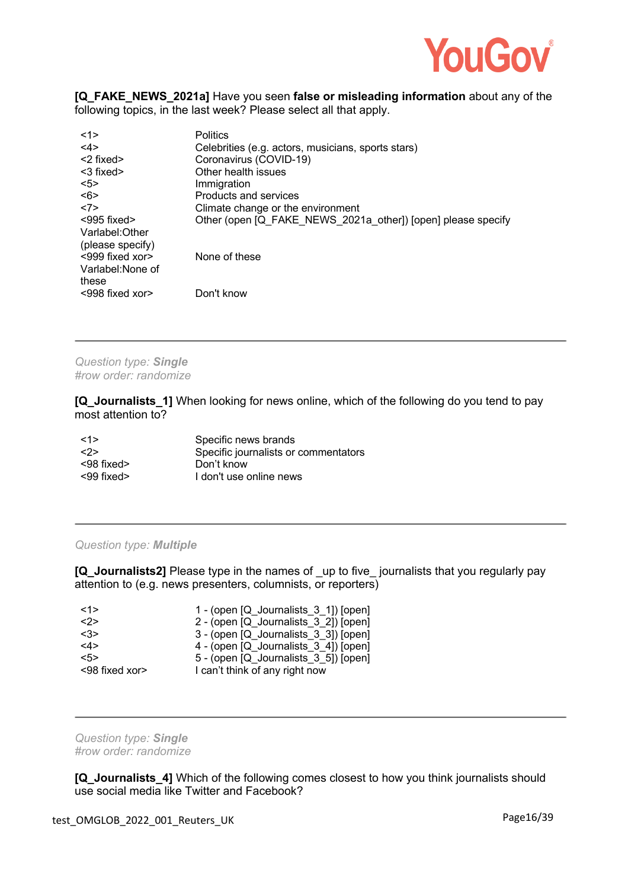

#### **[Q\_FAKE\_NEWS\_2021a]** Have you seen **false or misleading information** about any of the following topics, in the last week? Please select all that apply.

| <1>                         | <b>Politics</b>                                              |
|-----------------------------|--------------------------------------------------------------|
| <4>                         | Celebrities (e.g. actors, musicians, sports stars)           |
| $<$ 2 fixed $>$             | Coronavirus (COVID-19)                                       |
| $<$ 3 fixed $>$             | Other health issues                                          |
| 5                           | Immigration                                                  |
| <6>                         | Products and services                                        |
| <7>                         | Climate change or the environment                            |
| $<$ 995 fixed $>$           | Other (open [Q FAKE_NEWS_2021a_other]) [open] please specify |
| Varlabel: Other             |                                                              |
| (please specify)            |                                                              |
| $<$ 999 fixed xor $>$       | None of these                                                |
| Varlabel: None of           |                                                              |
| these                       |                                                              |
| $\leq$ 998 fixed xor $\geq$ | Don't know                                                   |

*Question type: Single #row order: randomize*

**[Q\_Journalists\_1]** When looking for news online, which of the following do you tend to pay most attention to?

| <1>              | Specific news brands                 |
|------------------|--------------------------------------|
| <2>              | Specific journalists or commentators |
| $<$ 98 fixed $>$ | Don't know                           |
| $<$ 99 fixed $>$ | I don't use online news              |

#### *Question type: Multiple*

**[Q\_Journalists2]** Please type in the names of up to five journalists that you regularly pay attention to (e.g. news presenters, columnists, or reporters)

| <1>            | 1 - (open [Q_Journalists_3_1]) [open] |
|----------------|---------------------------------------|
| <2>            | 2 - (open [Q Journalists 3 2]) [open] |
| <3>            | 3 - (open [Q Journalists 3 3]) [open] |
| <4>            | 4 - (open [Q Journalists 3 4]) [open] |
| 5              | 5 - (open [Q_Journalists_3_5]) [open] |
| <98 fixed xor> | I can't think of any right now        |

*Question type: Single #row order: randomize*

**[Q\_Journalists\_4]** Which of the following comes closest to how you think journalists should use social media like Twitter and Facebook?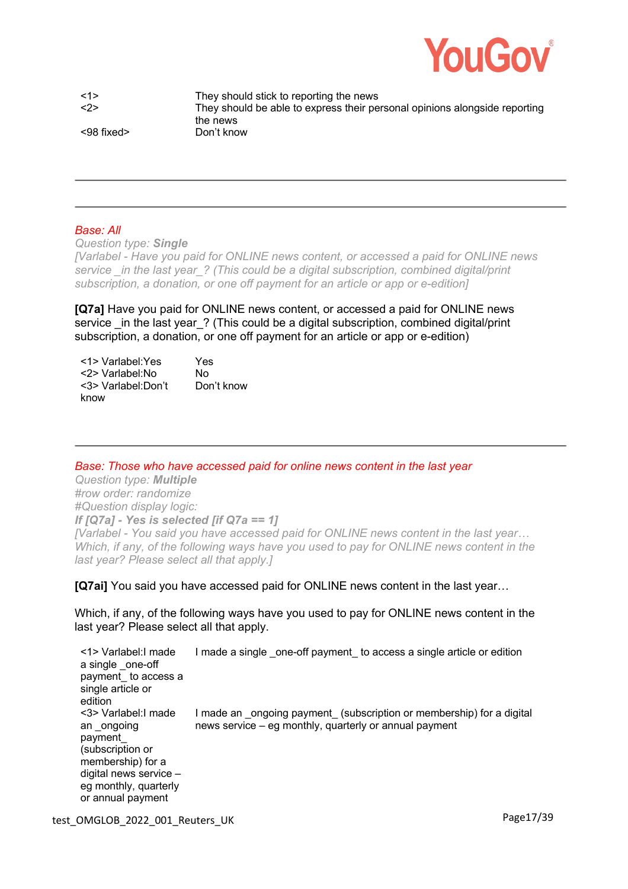

<1> They should stick to reporting the news <2> They should be able to express their personal opinions alongside reporting the news <98 fixed> Don't know

### *Base: All*

*Question type: Single*

*[Varlabel - Have you paid for ONLINE news content, or accessed a paid for ONLINE news service \_in the last year\_? (This could be a digital subscription, combined digital/print subscription, a donation, or one off payment for an article or app or e-edition]* 

**[Q7a]** Have you paid for ONLINE news content, or accessed a paid for ONLINE news service in the last year ? (This could be a digital subscription, combined digital/print subscription, a donation, or one off payment for an article or app or e-edition)

| <1> Varlabel: Yes   | Yes        |
|---------------------|------------|
| <2> Varlabel: No    | N٥         |
| <3> Varlabel: Don't | Don't know |
| know                |            |

*Base: Those who have accessed paid for online news content in the last year*

*Question type: Multiple #row order: randomize #Question display logic: If [Q7a] - Yes is selected [if Q7a == 1] [Varlabel - You said you have accessed paid for ONLINE news content in the last year… Which, if any, of the following ways have you used to pay for ONLINE news content in the last year? Please select all that apply.]* 

**[Q7ai]** You said you have accessed paid for ONLINE news content in the last year…

Which, if any, of the following ways have you used to pay for ONLINE news content in the last year? Please select all that apply.

<1> Varlabel:I made a single one-off payment\_ to access a single article or edition I made a single \_one-off payment\_ to access a single article or edition <3> Varlabel:I made an ongoing payment\_ (subscription or membership) for a digital news service – eg monthly, quarterly or annual payment I made an ongoing payment (subscription or membership) for a digital news service – eg monthly, quarterly or annual payment

test\_OMGLOB\_2022\_001\_Reuters\_UK extended the control of the Page17/39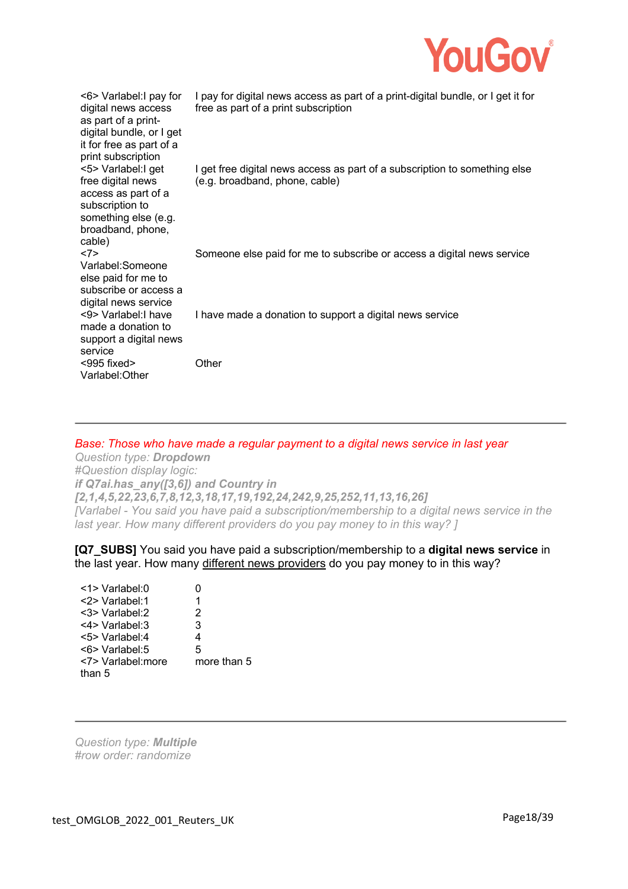

| <6> Varlabel: I pay for<br>digital news access<br>as part of a print-<br>digital bundle, or I get<br>it for free as part of a<br>print subscription | I pay for digital news access as part of a print-digital bundle, or I get it for<br>free as part of a print subscription |
|-----------------------------------------------------------------------------------------------------------------------------------------------------|--------------------------------------------------------------------------------------------------------------------------|
| <5> Varlabel: I get<br>free digital news<br>access as part of a<br>subscription to<br>something else (e.g.<br>broadband, phone,<br>cable)           | I get free digital news access as part of a subscription to something else<br>(e.g. broadband, phone, cable)             |
| <7><br>Varlabel:Someone<br>else paid for me to<br>subscribe or access a<br>digital news service                                                     | Someone else paid for me to subscribe or access a digital news service                                                   |
| <9> Varlabel: I have<br>made a donation to<br>support a digital news<br>service                                                                     | I have made a donation to support a digital news service                                                                 |
| $<$ 995 fixed $>$<br>Varlabel: Other                                                                                                                | Other                                                                                                                    |

### *Base: Those who have made a regular payment to a digital news service in last year*

*Question type: Dropdown #Question display logic: if Q7ai.has\_any([3,6]) and Country in [2,1,4,5,22,23,6,7,8,12,3,18,17,19,192,24,242,9,25,252,11,13,16,26] [Varlabel - You said you have paid a subscription/membership to a digital news service in the last year. How many different providers do you pay money to in this way?* 1

### **[Q7\_SUBS]** You said you have paid a subscription/membership to a **digital news service** in the last year. How many different news providers do you pay money to in this way?

| $\leq$ 1> Varlabel:0  | 0           |
|-----------------------|-------------|
| $<$ 2> Varlabel:1     | 1           |
| $<$ 3> Varlabel:2     | 2           |
| <4> Varlabel:3        | 3           |
| <5> Varlabel:4        | 4           |
| $\leq$ 6> Varlabel: 5 | 5           |
| <7> Varlabel: more    | more than 5 |
| than 5                |             |

*Question type: Multiple #row order: randomize*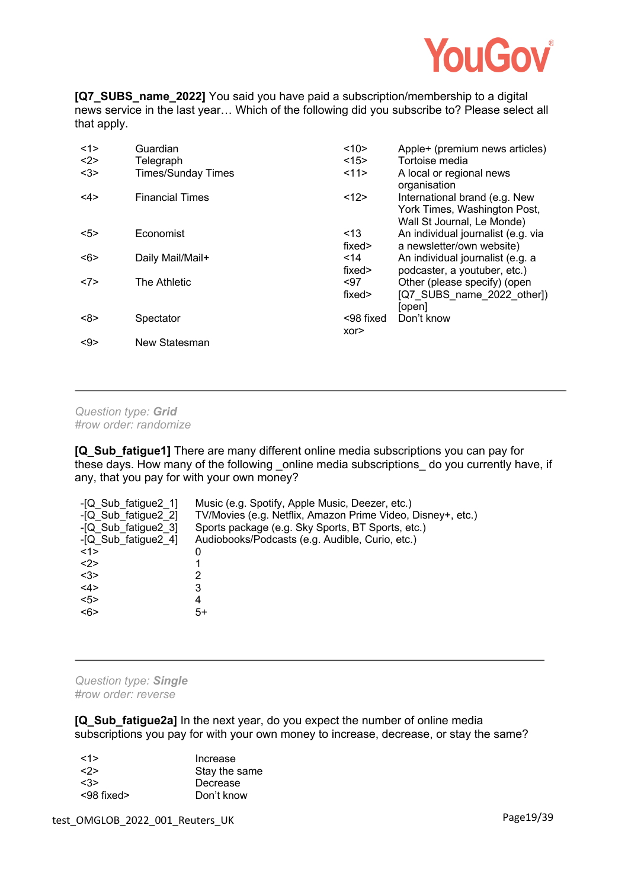

**[Q7 SUBS name 2022]** You said you have paid a subscription/membership to a digital news service in the last year… Which of the following did you subscribe to? Please select all that apply.

| <1>        | Guardian                  | <10>             | Apple+ (premium news articles)                                                              |
|------------|---------------------------|------------------|---------------------------------------------------------------------------------------------|
| <2>        | Telegraph                 | <15>             | Tortoise media                                                                              |
| $3$        | <b>Times/Sunday Times</b> | <11>             | A local or regional news<br>organisation                                                    |
| $<$ 4>     | <b>Financial Times</b>    | <12>             | International brand (e.g. New<br>York Times, Washington Post,<br>Wall St Journal, Le Monde) |
| 5          | Economist                 | < 13<br>fixed>   | An individual journalist (e.g. via<br>a newsletter/own website)                             |
| <6>        | Daily Mail/Mail+          | $14$<br>fixed>   | An individual journalist (e.g. a<br>podcaster, a youtuber, etc.)                            |
| <7>        | The Athletic              | $97$<br>fixed>   | Other (please specify) (open<br>[Q7 SUBS name 2022 other])<br>[open]                        |
| <8>        | Spectator                 | <98 fixed<br>XOT | Don't know                                                                                  |
| $< \theta$ | New Statesman             |                  |                                                                                             |

*Question type: Grid #row order: randomize*

**[Q\_Sub\_fatigue1]** There are many different online media subscriptions you can pay for these days. How many of the following online media subscriptions do you currently have, if any, that you pay for with your own money?

| -[Q Sub fatigue 21]<br>-[Q Sub fatigue2 2] | Music (e.g. Spotify, Apple Music, Deezer, etc.)<br>TV/Movies (e.g. Netflix, Amazon Prime Video, Disney+, etc.) |
|--------------------------------------------|----------------------------------------------------------------------------------------------------------------|
| -[Q Sub fatigue2 3]                        | Sports package (e.g. Sky Sports, BT Sports, etc.)                                                              |
| -[Q Sub fatigue2 4]                        | Audiobooks/Podcasts (e.g. Audible, Curio, etc.)                                                                |
| $<$ 1>                                     | 0                                                                                                              |
| $2$                                        |                                                                                                                |
| $3$                                        | 2                                                                                                              |
| <4>                                        | 3                                                                                                              |
| 5 >                                        | 4                                                                                                              |
| <6>                                        | 5+                                                                                                             |

*Question type: Single #row order: reverse*

**[Q\_Sub\_fatigue2a]** In the next year, do you expect the number of online media subscriptions you pay for with your own money to increase, decrease, or stay the same?

| 1>                  | Increase      |
|---------------------|---------------|
| $\langle 2 \rangle$ | Stay the same |
| <3>                 | Decrease      |
| $< 98$ fixed $>$    | Don't know    |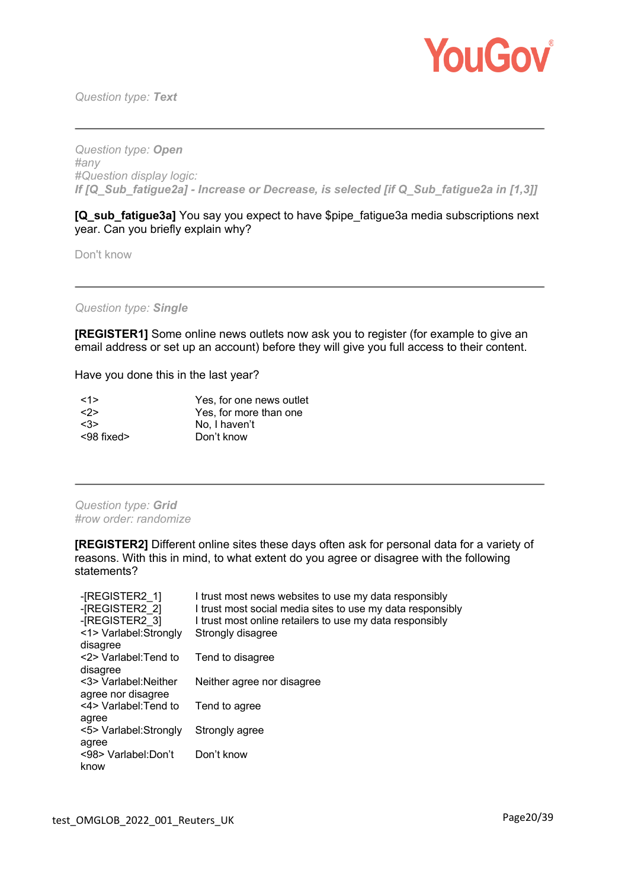

*Question type: Text*

*Question type: Open #any #Question display logic: If [Q\_Sub\_fatigue2a] - Increase or Decrease, is selected [if Q\_Sub\_fatigue2a in [1,3]]* 

**[Q\_sub\_fatigue3a]** You say you expect to have \$pipe\_fatigue3a media subscriptions next year. Can you briefly explain why?

Don't know

*Question type: Single*

**[REGISTER1]** Some online news outlets now ask you to register (for example to give an email address or set up an account) before they will give you full access to their content.

Have you done this in the last year?

| $\le$ 1>            | Yes, for one news outlet |
|---------------------|--------------------------|
| $\langle 2 \rangle$ | Yes, for more than one   |
| $\langle 3 \rangle$ | No. I haven't            |
| $<$ 98 fixed $>$    | Don't know               |

*Question type: Grid #row order: randomize*

**[REGISTER2]** Different online sites these days often ask for personal data for a variety of reasons. With this in mind, to what extent do you agree or disagree with the following statements?

| I trust most news websites to use my data responsibly<br>I trust most social media sites to use my data responsibly |
|---------------------------------------------------------------------------------------------------------------------|
| I trust most online retailers to use my data responsibly                                                            |
| Strongly disagree                                                                                                   |
| Tend to disagree                                                                                                    |
| Neither agree nor disagree                                                                                          |
| Tend to agree                                                                                                       |
| Strongly agree                                                                                                      |
| Don't know                                                                                                          |
|                                                                                                                     |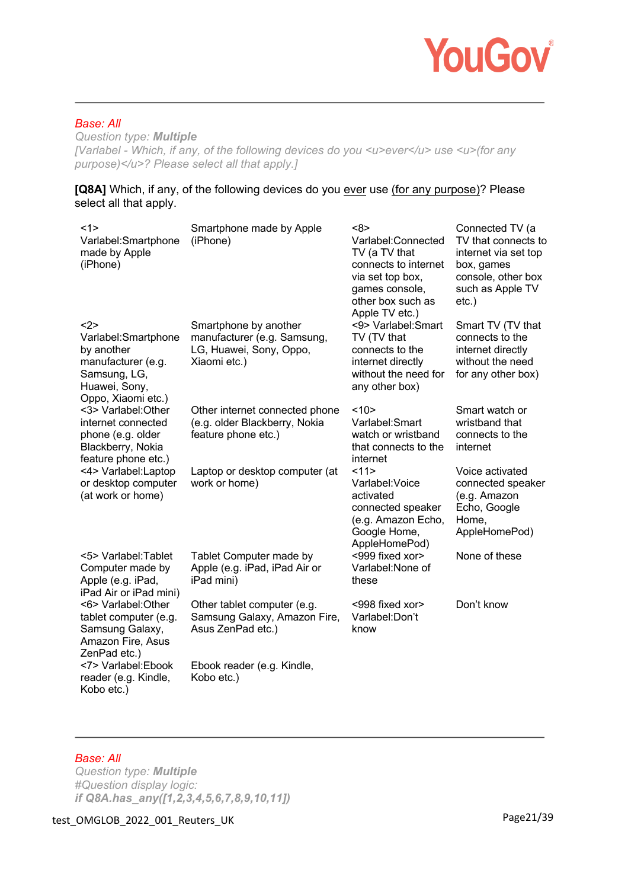

## *Base: All*

*Question type: Multiple [Varlabel - Which, if any, of the following devices do you <u>ever</u> use <u>* (for any *purpose)</u>? Please select all that apply.]* 

#### **[Q8A]** Which, if any, of the following devices do you ever use (for any purpose)? Please select all that apply.

| <1><br>Varlabel:Smartphone<br>made by Apple<br>(iPhone)                                                               | Smartphone made by Apple<br>(iPhone)                                                            | <8><br>Varlabel:Connected<br>TV (a TV that<br>connects to internet<br>via set top box,<br>games console,<br>other box such as<br>Apple TV etc.) | Connected TV (a<br>TV that connects to<br>internet via set top<br>box, games<br>console, other box<br>such as Apple TV<br>$etc.$ ) |
|-----------------------------------------------------------------------------------------------------------------------|-------------------------------------------------------------------------------------------------|-------------------------------------------------------------------------------------------------------------------------------------------------|------------------------------------------------------------------------------------------------------------------------------------|
| $2$<br>Varlabel:Smartphone<br>by another<br>manufacturer (e.g.<br>Samsung, LG,<br>Huawei, Sony,<br>Oppo, Xiaomi etc.) | Smartphone by another<br>manufacturer (e.g. Samsung,<br>LG, Huawei, Sony, Oppo,<br>Xiaomi etc.) | <9> Varlabel: Smart<br>TV (TV that<br>connects to the<br>internet directly<br>without the need for<br>any other box)                            | Smart TV (TV that<br>connects to the<br>internet directly<br>without the need<br>for any other box)                                |
| <3> Varlabel: Other<br>internet connected<br>phone (e.g. older<br>Blackberry, Nokia<br>feature phone etc.)            | Other internet connected phone<br>(e.g. older Blackberry, Nokia<br>feature phone etc.)          | <10><br>Varlabel: Smart<br>watch or wristband<br>that connects to the<br>internet                                                               | Smart watch or<br>wristband that<br>connects to the<br>internet                                                                    |
| <4> Varlabel:Laptop<br>or desktop computer<br>(at work or home)                                                       | Laptop or desktop computer (at<br>work or home)                                                 | 11<br>Varlabel: Voice<br>activated<br>connected speaker<br>(e.g. Amazon Echo,<br>Google Home,<br>AppleHomePod)                                  | Voice activated<br>connected speaker<br>(e.g. Amazon<br>Echo, Google<br>Home,<br>AppleHomePod)                                     |
| <5> Varlabel: Tablet<br>Computer made by<br>Apple (e.g. iPad,<br>iPad Air or iPad mini)                               | Tablet Computer made by<br>Apple (e.g. iPad, iPad Air or<br>iPad mini)                          | <999 fixed xor><br>Varlabel: None of<br>these                                                                                                   | None of these                                                                                                                      |
| <6> Varlabel: Other<br>tablet computer (e.g.<br>Samsung Galaxy,<br>Amazon Fire, Asus<br>ZenPad etc.)                  | Other tablet computer (e.g.<br>Samsung Galaxy, Amazon Fire,<br>Asus ZenPad etc.)                | <998 fixed xor><br>Varlabel:Don't<br>know                                                                                                       | Don't know                                                                                                                         |
| <7> Varlabel:Ebook<br>reader (e.g. Kindle,<br>Kobo etc.)                                                              | Ebook reader (e.g. Kindle,<br>Kobo etc.)                                                        |                                                                                                                                                 |                                                                                                                                    |

# *Base: All*

*Question type: Multiple #Question display logic: if Q8A.has\_any([1,2,3,4,5,6,7,8,9,10,11])*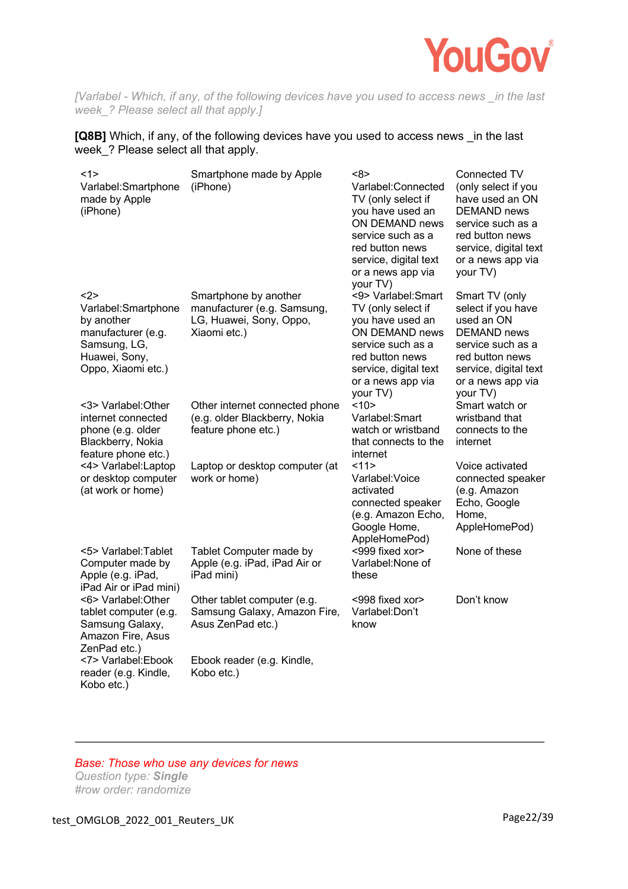

*[Varlabel - Which, if any, of the following devices have you used to access news \_in the last week\_? Please select all that apply.]* 

### **[Q8B]** Which, if any, of the following devices have you used to access news \_in the last week\_? Please select all that apply.

| <1><br>Varlabel:Smartphone<br>made by Apple<br>(iPhone)                                                               | Smartphone made by Apple<br>(iPhone)                                                            | <8><br>Varlabel:Connected<br>TV (only select if<br>you have used an<br>ON DEMAND news<br>service such as a<br>red button news<br>service, digital text<br>or a news app via<br>your TV) | Connected TV<br>(only select if you<br>have used an ON<br>DEMAND news<br>service such as a<br>red button news<br>service, digital text<br>or a news app via<br>your TV)    |
|-----------------------------------------------------------------------------------------------------------------------|-------------------------------------------------------------------------------------------------|-----------------------------------------------------------------------------------------------------------------------------------------------------------------------------------------|----------------------------------------------------------------------------------------------------------------------------------------------------------------------------|
| $2$<br>Varlabel:Smartphone<br>by another<br>manufacturer (e.g.<br>Samsung, LG,<br>Huawei, Sony,<br>Oppo, Xiaomi etc.) | Smartphone by another<br>manufacturer (e.g. Samsung,<br>LG, Huawei, Sony, Oppo,<br>Xiaomi etc.) | <9> Varlabel: Smart<br>TV (only select if<br>you have used an<br>ON DEMAND news<br>service such as a<br>red button news<br>service, digital text<br>or a news app via<br>your TV)       | Smart TV (only<br>select if you have<br>used an ON<br><b>DEMAND</b> news<br>service such as a<br>red button news<br>service, digital text<br>or a news app via<br>your TV) |
| <3> Varlabel: Other<br>internet connected<br>phone (e.g. older<br>Blackberry, Nokia<br>feature phone etc.)            | Other internet connected phone<br>(e.g. older Blackberry, Nokia<br>feature phone etc.)          | <10><br>Varlabel:Smart<br>watch or wristband<br>that connects to the<br>internet                                                                                                        | Smart watch or<br>wristband that<br>connects to the<br>internet                                                                                                            |
| <4> Varlabel:Laptop<br>or desktop computer<br>(at work or home)                                                       | Laptop or desktop computer (at<br>work or home)                                                 | 11><br>Varlabel: Voice<br>activated<br>connected speaker<br>(e.g. Amazon Echo,<br>Google Home,<br>AppleHomePod)                                                                         | Voice activated<br>connected speaker<br>(e.g. Amazon<br>Echo, Google<br>Home,<br>AppleHomePod)                                                                             |
| <5> Varlabel: Tablet<br>Computer made by<br>Apple (e.g. iPad,<br>iPad Air or iPad mini)                               | Tablet Computer made by<br>Apple (e.g. iPad, iPad Air or<br>iPad mini)                          | <999 fixed xor><br>Varlabel: None of<br>these                                                                                                                                           | None of these                                                                                                                                                              |
| <6> Varlabel: Other<br>tablet computer (e.g.<br>Samsung Galaxy,<br>Amazon Fire, Asus<br>ZenPad etc.)                  | Other tablet computer (e.g.<br>Samsung Galaxy, Amazon Fire,<br>Asus ZenPad etc.)                | <998 fixed xor><br>Varlabel: Don't<br>know                                                                                                                                              | Don't know                                                                                                                                                                 |
| <7> Varlabel:Ebook<br>reader (e.g. Kindle,<br>Kobo etc.)                                                              | Ebook reader (e.g. Kindle,<br>Kobo etc.)                                                        |                                                                                                                                                                                         |                                                                                                                                                                            |

## *Base: Those who use any devices for news*

*Question type: Single #row order: randomize*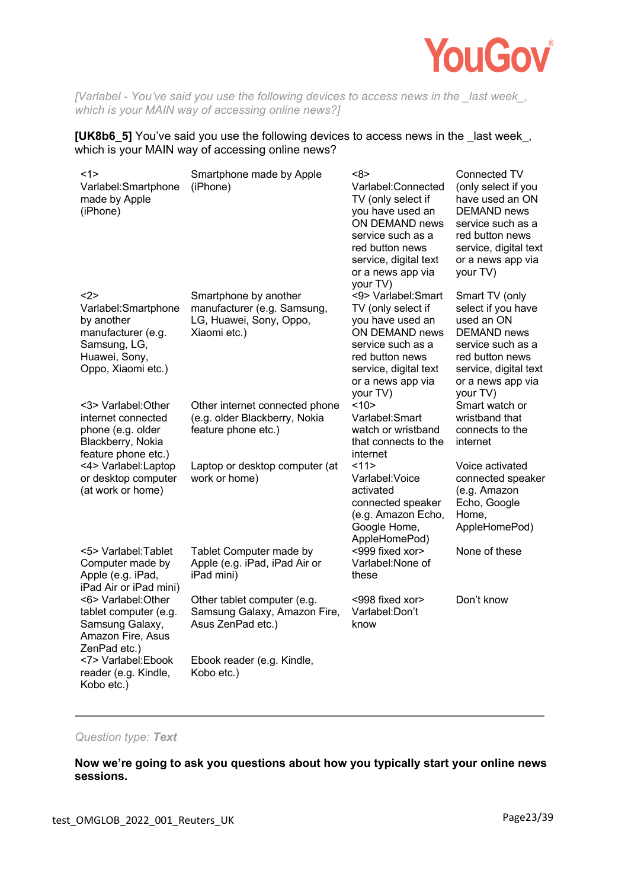

*[Varlabel - You've said you use the following devices to access news in the \_last week\_, which is your MAIN way of accessing online news?]* 

#### **[UK8b6\_5]** You've said you use the following devices to access news in the \_last week\_, which is your MAIN way of accessing online news?

| <1><br>Varlabel:Smartphone<br>made by Apple<br>(iPhone)                                                                | Smartphone made by Apple<br>(iPhone)                                                            | <8><br>Varlabel:Connected<br>TV (only select if<br>you have used an<br>ON DEMAND news<br>service such as a<br>red button news<br>service, digital text<br>or a news app via<br>your TV) | Connected TV<br>(only select if you<br>have used an ON<br><b>DEMAND</b> news<br>service such as a<br>red button news<br>service, digital text<br>or a news app via<br>your TV) |
|------------------------------------------------------------------------------------------------------------------------|-------------------------------------------------------------------------------------------------|-----------------------------------------------------------------------------------------------------------------------------------------------------------------------------------------|--------------------------------------------------------------------------------------------------------------------------------------------------------------------------------|
| $2$<br>Varlabel: Smartphone<br>by another<br>manufacturer (e.g.<br>Samsung, LG,<br>Huawei, Sony,<br>Oppo, Xiaomi etc.) | Smartphone by another<br>manufacturer (e.g. Samsung,<br>LG, Huawei, Sony, Oppo,<br>Xiaomi etc.) | <9> Varlabel: Smart<br>TV (only select if<br>you have used an<br>ON DEMAND news<br>service such as a<br>red button news<br>service, digital text<br>or a news app via<br>your TV)       | Smart TV (only<br>select if you have<br>used an ON<br><b>DEMAND</b> news<br>service such as a<br>red button news<br>service, digital text<br>or a news app via<br>your TV)     |
| <3> Varlabel:Other<br>internet connected<br>phone (e.g. older<br>Blackberry, Nokia<br>feature phone etc.)              | Other internet connected phone<br>(e.g. older Blackberry, Nokia<br>feature phone etc.)          | <10><br>Varlabel:Smart<br>watch or wristband<br>that connects to the<br>internet                                                                                                        | Smart watch or<br>wristband that<br>connects to the<br>internet                                                                                                                |
| <4> Varlabel:Laptop<br>or desktop computer<br>(at work or home)                                                        | Laptop or desktop computer (at<br>work or home)                                                 | 11><br>Varlabel: Voice<br>activated<br>connected speaker<br>(e.g. Amazon Echo,<br>Google Home,<br>AppleHomePod)                                                                         | Voice activated<br>connected speaker<br>(e.g. Amazon<br>Echo, Google<br>Home,<br>AppleHomePod)                                                                                 |
| <5> Varlabel: Tablet<br>Computer made by<br>Apple (e.g. iPad,<br>iPad Air or iPad mini)                                | Tablet Computer made by<br>Apple (e.g. iPad, iPad Air or<br>iPad mini)                          | <999 fixed xor><br>Varlabel: None of<br>these                                                                                                                                           | None of these                                                                                                                                                                  |
| <6> Varlabel: Other<br>tablet computer (e.g.<br>Samsung Galaxy,<br>Amazon Fire, Asus<br>ZenPad etc.)                   | Other tablet computer (e.g.<br>Samsung Galaxy, Amazon Fire,<br>Asus ZenPad etc.)                | <998 fixed xor><br>Varlabel:Don't<br>know                                                                                                                                               | Don't know                                                                                                                                                                     |
| <7> Varlabel:Ebook<br>reader (e.g. Kindle,<br>Kobo etc.)                                                               | Ebook reader (e.g. Kindle,<br>Kobo etc.)                                                        |                                                                                                                                                                                         |                                                                                                                                                                                |

## *Question type: Text*

**Now we're going to ask you questions about how you typically start your online news sessions.**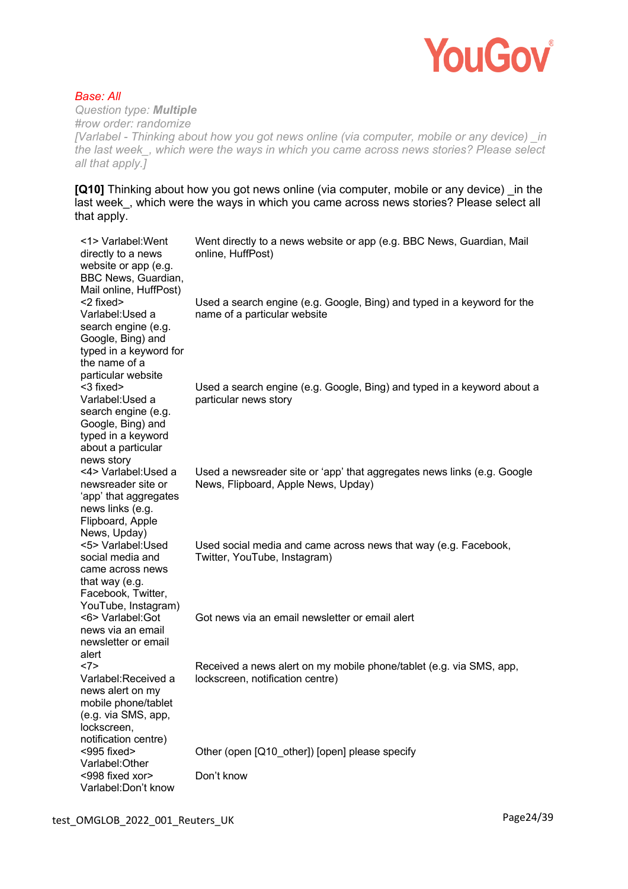

*Base: All Question type: Multiple #row order: randomize [Varlabel - Thinking about how you got news online (via computer, mobile or any device) \_in the last week\_, which were the ways in which you came across news stories? Please select all that apply.]* 

**[Q10]** Thinking about how you got news online (via computer, mobile or any device) in the last week, which were the ways in which you came across news stories? Please select all that apply.

| <1> Varlabel: Went<br>directly to a news<br>website or app (e.g.<br>BBC News, Guardian,<br>Mail online, HuffPost)                          | Went directly to a news website or app (e.g. BBC News, Guardian, Mail<br>online, HuffPost)                     |
|--------------------------------------------------------------------------------------------------------------------------------------------|----------------------------------------------------------------------------------------------------------------|
| <2 fixed><br>Varlabel: Used a<br>search engine (e.g.<br>Google, Bing) and<br>typed in a keyword for<br>the name of a<br>particular website | Used a search engine (e.g. Google, Bing) and typed in a keyword for the<br>name of a particular website        |
| <3 fixed><br>Varlabel: Used a<br>search engine (e.g.<br>Google, Bing) and<br>typed in a keyword<br>about a particular<br>news story        | Used a search engine (e.g. Google, Bing) and typed in a keyword about a<br>particular news story               |
| <4> Varlabel: Used a<br>newsreader site or<br>'app' that aggregates<br>news links (e.g.<br>Flipboard, Apple<br>News, Upday)                | Used a newsreader site or 'app' that aggregates news links (e.g. Google<br>News, Flipboard, Apple News, Upday) |
| <5> Varlabel: Used<br>social media and<br>came across news<br>that way (e.g.<br>Facebook, Twitter,<br>YouTube, Instagram)                  | Used social media and came across news that way (e.g. Facebook,<br>Twitter, YouTube, Instagram)                |
| <6> Varlabel: Got<br>news via an email<br>newsletter or email<br>alert                                                                     | Got news via an email newsletter or email alert                                                                |
| <7><br>Varlabel:Received a<br>news alert on my<br>mobile phone/tablet<br>(e.g. via SMS, app,<br>lockscreen,<br>notification centre)        | Received a news alert on my mobile phone/tablet (e.g. via SMS, app,<br>lockscreen, notification centre)        |
| $<$ 995 fixed><br>Varlabel: Other                                                                                                          | Other (open [Q10_other]) [open] please specify                                                                 |
| <998 fixed xor><br>Varlabel: Don't know                                                                                                    | Don't know                                                                                                     |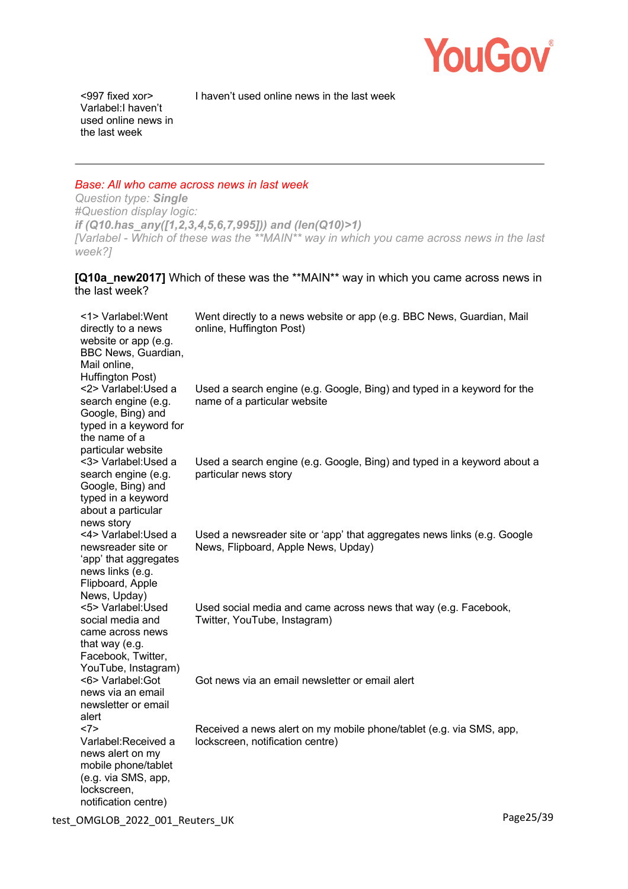

I haven't used online news in the last week

<997 fixed xor> Varlabel:I haven't used online news in the last week

#### *Base: All who came across news in last week*

*Question type: Single #Question display logic: if (Q10.has\_any([1,2,3,4,5,6,7,995])) and (len(Q10)>1) [Varlabel - Which of these was the \*\*MAIN\*\* way in which you came across news in the last week?]* 

# **[Q10a\_new2017]** Which of these was the \*\*MAIN\*\* way in which you came across news in the last week?

| <1> Varlabel: Went<br>directly to a news<br>website or app (e.g.<br>BBC News, Guardian,<br>Mail online,<br>Huffington Post)         | Went directly to a news website or app (e.g. BBC News, Guardian, Mail<br>online, Huffington Post)              |
|-------------------------------------------------------------------------------------------------------------------------------------|----------------------------------------------------------------------------------------------------------------|
| <2> Varlabel: Used a<br>search engine (e.g.<br>Google, Bing) and<br>typed in a keyword for<br>the name of a<br>particular website   | Used a search engine (e.g. Google, Bing) and typed in a keyword for the<br>name of a particular website        |
| <3> Varlabel: Used a<br>search engine (e.g.<br>Google, Bing) and<br>typed in a keyword<br>about a particular<br>news story          | Used a search engine (e.g. Google, Bing) and typed in a keyword about a<br>particular news story               |
| <4> Varlabel: Used a<br>newsreader site or<br>'app' that aggregates<br>news links (e.g.<br>Flipboard, Apple<br>News, Upday)         | Used a newsreader site or 'app' that aggregates news links (e.g. Google<br>News, Flipboard, Apple News, Upday) |
| <5> Varlabel: Used<br>social media and<br>came across news<br>that way (e.g.<br>Facebook, Twitter,<br>YouTube, Instagram)           | Used social media and came across news that way (e.g. Facebook,<br>Twitter, YouTube, Instagram)                |
| <6> Varlabel: Got<br>news via an email<br>newsletter or email<br>alert                                                              | Got news via an email newsletter or email alert                                                                |
| <7><br>Varlabel:Received a<br>news alert on my<br>mobile phone/tablet<br>(e.g. via SMS, app,<br>lockscreen,<br>notification centre) | Received a news alert on my mobile phone/tablet (e.g. via SMS, app,<br>lockscreen, notification centre)        |

test\_OMGLOB\_2022\_001\_Reuters\_UK Page25/39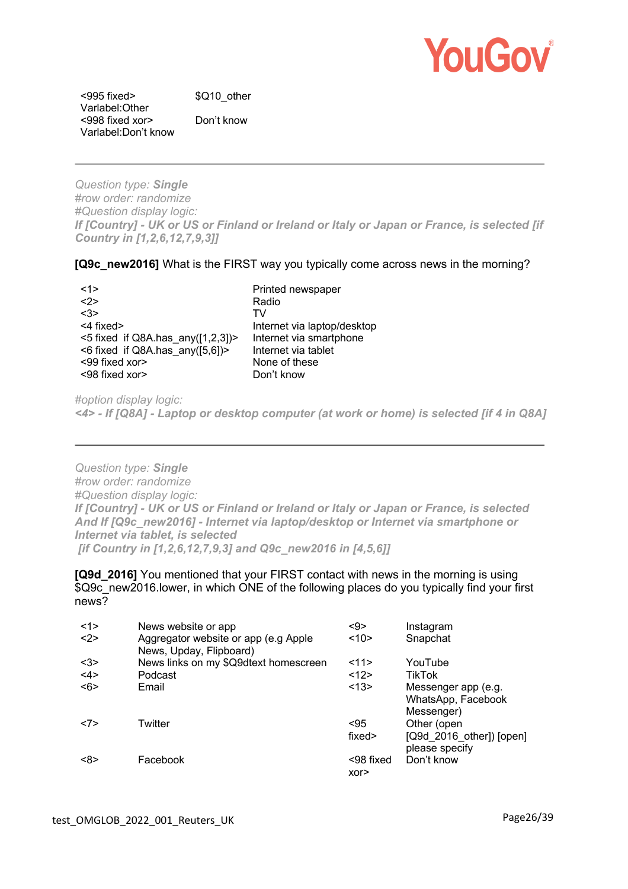

<995 fixed> Varlabel:Other <998 fixed xor> Varlabel:Don't know Don't know

\$Q10\_other

*Question type: Single #row order: randomize #Question display logic: If [Country] - UK or US or Finland or Ireland or Italy or Japan or France, is selected [if Country in [1,2,6,12,7,9,3]]* 

**[Q9c\_new2016]** What is the FIRST way you typically come across news in the morning?

| <1>                                      | Printed newspaper           |
|------------------------------------------|-----------------------------|
| $2$                                      | Radio                       |
| <3>                                      | TV                          |
| <4 fixed>                                | Internet via laptop/desktop |
| $<$ 5 fixed if Q8A.has any( $[1,2,3]$ )> | Internet via smartphone     |
| <6 fixed if Q8A.has $any([5,6])$ >       | Internet via tablet         |
| <99 fixed xor>                           | None of these               |
| <98 fixed xor>                           | Don't know                  |

*#option display logic: <4> - If [Q8A] - Laptop or desktop computer (at work or home) is selected [if 4 in Q8A]* 

*Question type: Single #row order: randomize #Question display logic: If [Country] - UK or US or Finland or Ireland or Italy or Japan or France, is selected And If [Q9c\_new2016] - Internet via laptop/desktop or Internet via smartphone or Internet via tablet, is selected [if Country in [1,2,6,12,7,9,3] and Q9c\_new2016 in [4,5,6]]* 

**[Q9d\_2016]** You mentioned that your FIRST contact with news in the morning is using \$Q9c\_new2016.lower, in which ONE of the following places do you typically find your first news?

| <1> | News website or app                                             | $9$              | Instagram                                                     |
|-----|-----------------------------------------------------------------|------------------|---------------------------------------------------------------|
| <2> | Aggregator website or app (e.g Apple<br>News, Upday, Flipboard) | <10>             | Snapchat                                                      |
| $3$ | News links on my \$Q9dtext homescreen                           | 11>              | YouTube                                                       |
| <4> | Podcast                                                         | <12>             | <b>TikTok</b>                                                 |
| <6> | Email                                                           | <13>             | Messenger app (e.g.<br>WhatsApp, Facebook<br>Messenger)       |
| <7> | Twitter                                                         | < 95<br>fixed>   | Other (open<br>$[Q9d 2016$ other]) $[open]$<br>please specify |
| <8> | Facebook                                                        | <98 fixed<br>XOT | Don't know                                                    |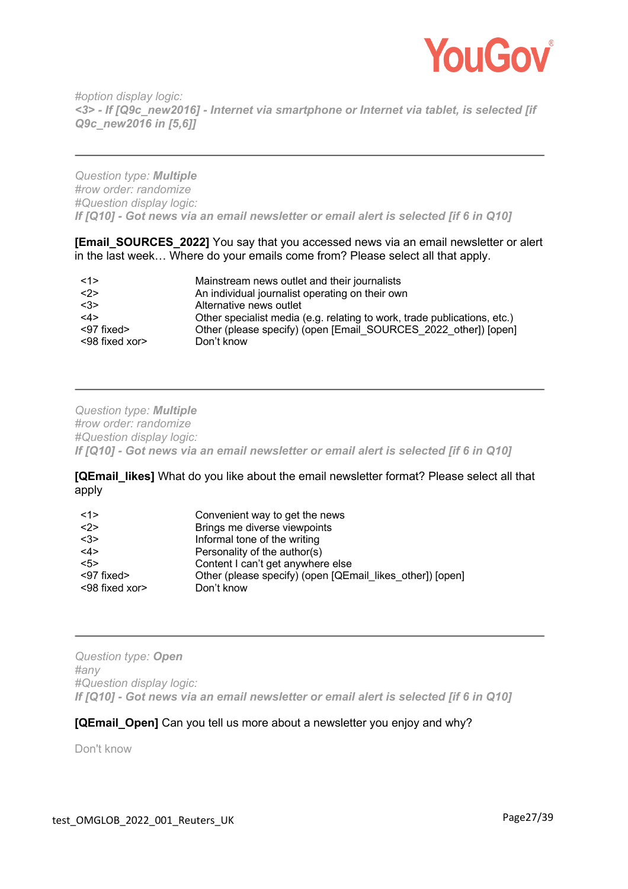

*#option display logic: <3> - If [Q9c\_new2016] - Internet via smartphone or Internet via tablet, is selected [if Q9c\_new2016 in [5,6]]* 

*Question type: Multiple #row order: randomize #Question display logic: If [Q10] - Got news via an email newsletter or email alert is selected [if 6 in Q10]* 

**[Email\_SOURCES\_2022]** You say that you accessed news via an email newsletter or alert in the last week… Where do your emails come from? Please select all that apply.

| <1>                  | Mainstream news outlet and their journalists                             |
|----------------------|--------------------------------------------------------------------------|
| <2>                  | An individual journalist operating on their own                          |
| <3>                  | Alternative news outlet                                                  |
| <4>                  | Other specialist media (e.g. relating to work, trade publications, etc.) |
| <97 fixed>           | Other (please specify) (open [Email SOURCES 2022 other]) [open]          |
| $<$ 98 fixed xor $>$ | Don't know                                                               |

*Question type: Multiple #row order: randomize #Question display logic: If [Q10] - Got news via an email newsletter or email alert is selected [if 6 in Q10]* 

**[QEmail likes]** What do you like about the email newsletter format? Please select all that apply

| <1>            | Convenient way to get the news                            |
|----------------|-----------------------------------------------------------|
| <2>            | Brings me diverse viewpoints                              |
| <3>            | Informal tone of the writing                              |
| <4>            | Personality of the author(s)                              |
| 5>             | Content I can't get anywhere else                         |
| <97 fixed>     | Other (please specify) (open [QEmail likes other]) [open] |
| <98 fixed xor> | Don't know                                                |

*Question type: Open #any #Question display logic: If [Q10] - Got news via an email newsletter or email alert is selected [if 6 in Q10]* 

#### **[QEmail\_Open]** Can you tell us more about a newsletter you enjoy and why?

Don't know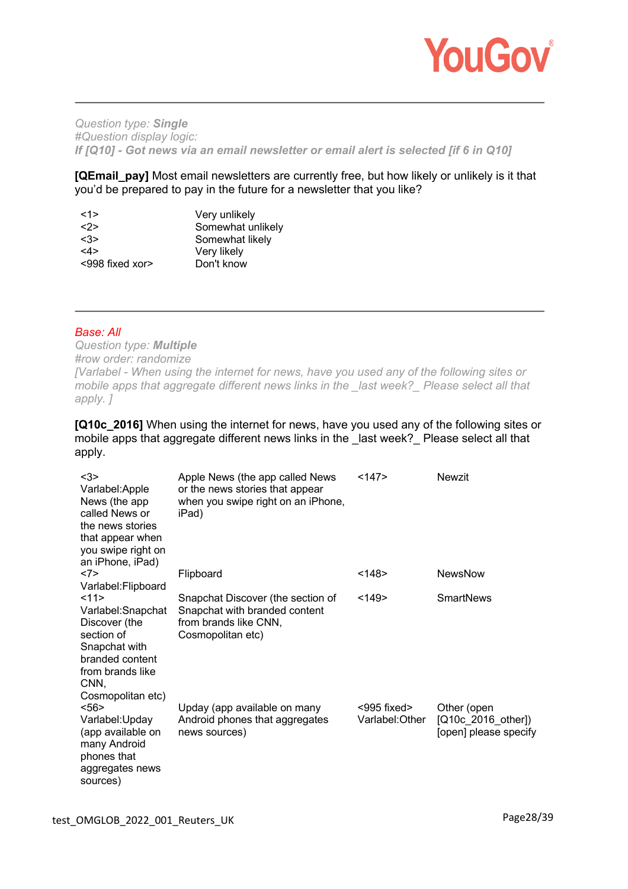

*Question type: Single #Question display logic: If [Q10] - Got news via an email newsletter or email alert is selected [if 6 in Q10]* 

**[QEmail\_pay]** Most email newsletters are currently free, but how likely or unlikely is it that you'd be prepared to pay in the future for a newsletter that you like?

| <1>             | Very unlikely     |
|-----------------|-------------------|
| 2               | Somewhat unlikely |
| <3>             | Somewhat likely   |
| <4>             | Very likely       |
| <998 fixed xor> | Don't know        |

### *Base: All*

*Question type: Multiple #row order: randomize [Varlabel - When using the internet for news, have you used any of the following sites or mobile apps that aggregate different news links in the \_last week?\_ Please select all that apply. ]* 

**[Q10c\_2016]** When using the internet for news, have you used any of the following sites or mobile apps that aggregate different news links in the last week? Please select all that apply.

| $3$<br>Varlabel:Apple<br>News (the app)<br>called News or<br>the news stories<br>that appear when<br>you swipe right on<br>an iPhone, iPad)   | Apple News (the app called News)<br>or the news stories that appear<br>when you swipe right on an iPhone,<br>iPad) | <147>                            | Newzit                                                     |
|-----------------------------------------------------------------------------------------------------------------------------------------------|--------------------------------------------------------------------------------------------------------------------|----------------------------------|------------------------------------------------------------|
| <7><br>Varlabel:Flipboard                                                                                                                     | Flipboard                                                                                                          | $148$                            | <b>NewsNow</b>                                             |
| 11><br>Varlabel: Snapchat<br>Discover (the<br>section of<br>Snapchat with<br>branded content<br>from brands like<br>CNN,<br>Cosmopolitan etc) | Snapchat Discover (the section of<br>Snapchat with branded content<br>from brands like CNN,<br>Cosmopolitan etc)   | $149$                            | <b>SmartNews</b>                                           |
| <56<br>Varlabel:Upday<br>(app available on<br>many Android<br>phones that<br>aggregates news<br>sources)                                      | Upday (app available on many<br>Android phones that aggregates<br>news sources)                                    | $<$ 995 fixed><br>Varlabel:Other | Other (open<br>[Q10c 2016 other])<br>[open] please specify |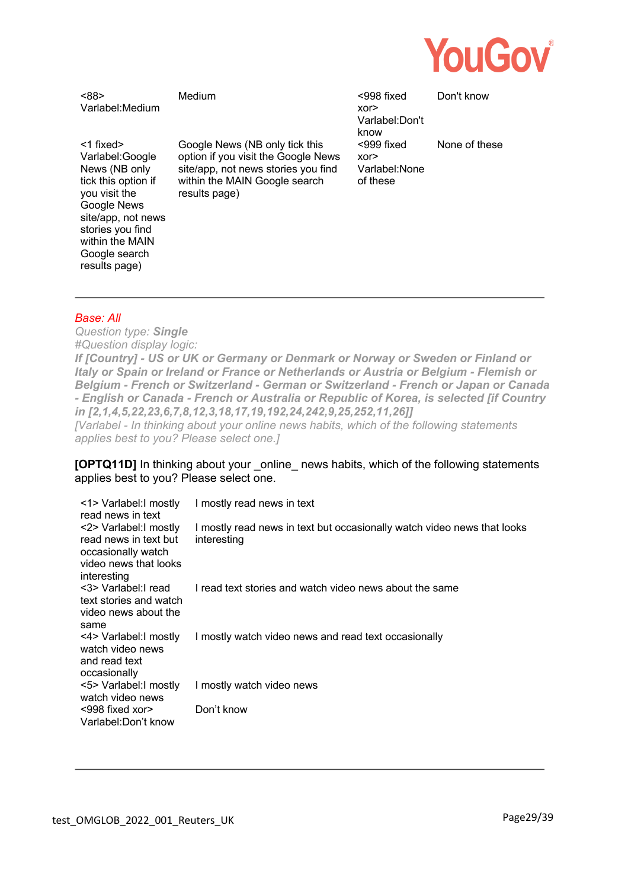

<88> Varlabel:Medium

<1 fixed> Varlabel:Google News (NB only tick this option if you visit the Google News site/app, not news stories you find within the MAIN Google search

Google News (NB only tick this option if you visit the Google News site/app, not news stories you find within the MAIN Google search results page)

Medium <998 fixed xor> Varlabel:Don't know <999 fixed xor> Varlabel:None of these

Don't know

None of these

#### *Base: All*

results page)

*Question type: Single #Question display logic: If [Country] - US or UK or Germany or Denmark or Norway or Sweden or Finland or Italy or Spain or Ireland or France or Netherlands or Austria or Belgium - Flemish or Belgium - French or Switzerland - German or Switzerland - French or Japan or Canada - English or Canada - French or Australia or Republic of Korea, is selected [if Country in [2,1,4,5,22,23,6,7,8,12,3,18,17,19,192,24,242,9,25,252,11,26]] [Varlabel - In thinking about your online news habits, which of the following statements applies best to you? Please select one.]* 

**[OPTQ11D]** In thinking about your \_online \_news habits, which of the following statements applies best to you? Please select one.

| <1> Varlabel: I mostly<br>read news in text                                                                   | I mostly read news in text                                                             |
|---------------------------------------------------------------------------------------------------------------|----------------------------------------------------------------------------------------|
| <2> Varlabel: I mostly<br>read news in text but<br>occasionally watch<br>video news that looks<br>interesting | I mostly read news in text but occasionally watch video news that looks<br>interesting |
| <3> Varlabel: read<br>text stories and watch<br>video news about the<br>same                                  | I read text stories and watch video news about the same                                |
| <4> Varlabel: I mostly<br>watch video news<br>and read text<br>occasionally                                   | I mostly watch video news and read text occasionally                                   |
| <5> Varlabel: I mostly<br>watch video news                                                                    | I mostly watch video news                                                              |
| $<$ 998 fixed xor $>$<br>Varlabel:Don't know                                                                  | Don't know                                                                             |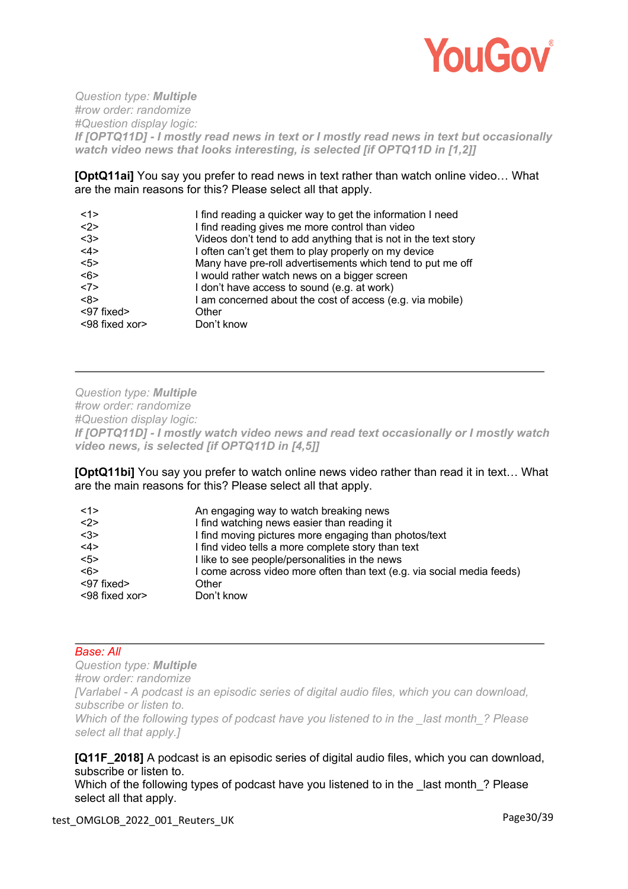

*Question type: Multiple #row order: randomize #Question display logic: If [OPTQ11D] - I mostly read news in text or I mostly read news in text but occasionally watch video news that looks interesting, is selected [if OPTQ11D in [1,2]]* 

**[OptQ11ai]** You say you prefer to read news in text rather than watch online video… What are the main reasons for this? Please select all that apply.

| <1>            | I find reading a quicker way to get the information I need      |
|----------------|-----------------------------------------------------------------|
| <2>            | I find reading gives me more control than video                 |
| <3>            | Videos don't tend to add anything that is not in the text story |
| <4>            | I often can't get them to play properly on my device            |
| 5              | Many have pre-roll advertisements which tend to put me off      |
| <6>            | I would rather watch news on a bigger screen                    |
| <7>            | I don't have access to sound (e.g. at work)                     |
| <8>            | I am concerned about the cost of access (e.g. via mobile)       |
| <97 fixed>     | Other                                                           |
| <98 fixed xor> | Don't know                                                      |

*Question type: Multiple #row order: randomize #Question display logic: If [OPTQ11D] - I mostly watch video news and read text occasionally or I mostly watch video news, is selected [if OPTQ11D in [4,5]]* 

**[OptQ11bi]** You say you prefer to watch online news video rather than read it in text... What are the main reasons for this? Please select all that apply.

| <1>            | An engaging way to watch breaking news                                 |
|----------------|------------------------------------------------------------------------|
| <2>            | I find watching news easier than reading it                            |
| $3$            | I find moving pictures more engaging than photos/text                  |
| <4>            | I find video tells a more complete story than text                     |
| $5$            | I like to see people/personalities in the news                         |
| <6>            | I come across video more often than text (e.g. via social media feeds) |
| <97 fixed>     | Other                                                                  |
| <98 fixed xor> | Don't know                                                             |

# *Base: All*

*Question type: Multiple #row order: randomize [Varlabel - A podcast is an episodic series of digital audio files, which you can download, subscribe or listen to. Which of the following types of podcast have you listened to in the \_last month\_? Please select all that apply.]* 

### **[Q11F\_2018]** A podcast is an episodic series of digital audio files, which you can download, subscribe or listen to.

Which of the following types of podcast have you listened to in the last month ? Please select all that apply.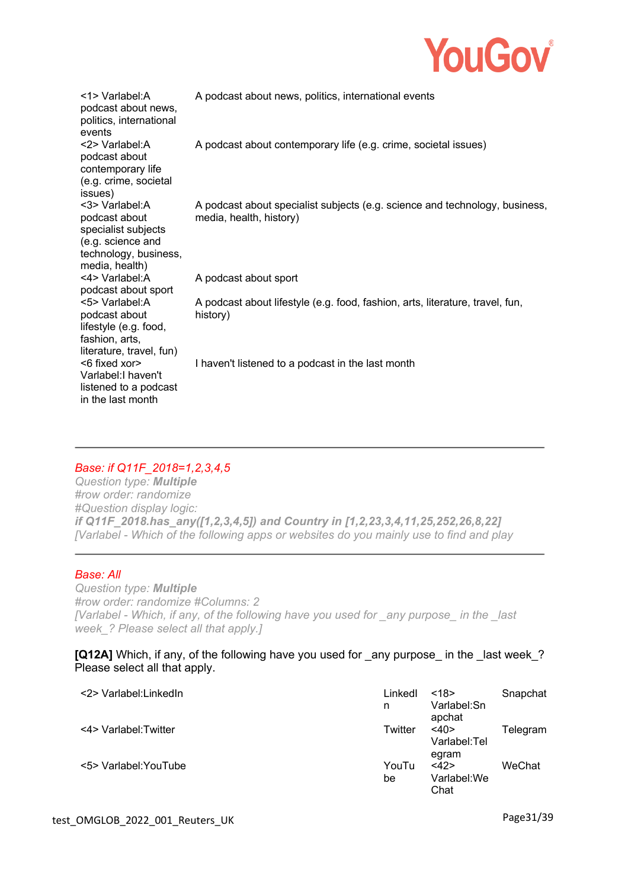

| <1> Varlabel:A<br>podcast about news,<br>politics, international<br>events                                             | A podcast about news, politics, international events                                                   |
|------------------------------------------------------------------------------------------------------------------------|--------------------------------------------------------------------------------------------------------|
| <2> Varlabel:A<br>podcast about<br>contemporary life<br>(e.g. crime, societal<br>issues)                               | A podcast about contemporary life (e.g. crime, societal issues)                                        |
| <3> Varlabel:A<br>podcast about<br>specialist subjects<br>(e.g. science and<br>technology, business,<br>media, health) | A podcast about specialist subjects (e.g. science and technology, business,<br>media, health, history) |
| <4> Varlabel: A<br>podcast about sport                                                                                 | A podcast about sport                                                                                  |
| <5> Varlabel:A<br>podcast about<br>lifestyle (e.g. food,<br>fashion, arts,<br>literature, travel, fun)                 | A podcast about lifestyle (e.g. food, fashion, arts, literature, travel, fun,<br>history)              |
| <6 fixed xor><br>Varlabel: I haven't<br>listened to a podcast<br>in the last month                                     | I haven't listened to a podcast in the last month                                                      |

# *Base: if Q11F\_2018=1,2,3,4,5*

*Question type: Multiple #row order: randomize #Question display logic: if Q11F\_2018.has\_any([1,2,3,4,5]) and Country in [1,2,23,3,4,11,25,252,26,8,22] [Varlabel - Which of the following apps or websites do you mainly use to find and play* 

# *Base: All*

*Question type: Multiple #row order: randomize #Columns: 2 [Varlabel - Which, if any, of the following have you used for \_any purpose\_ in the \_last week\_? Please select all that apply.]* 

### **[Q12A]** Which, if any, of the following have you used for any purpose in the last week? Please select all that apply.

| <2> Varlabel:LinkedIn | Linkedl<br>n | <18><br>Varlabel:Sn<br>apchat    | Snapchat |
|-----------------------|--------------|----------------------------------|----------|
| <4> Varlabel: Twitter | Twitter      | $<$ 40><br>Varlabel:Tel<br>egram | Telegram |
| <5> Varlabel: YouTube | YouTu<br>be  | <42><br>Varlabel:We<br>Chat      | WeChat   |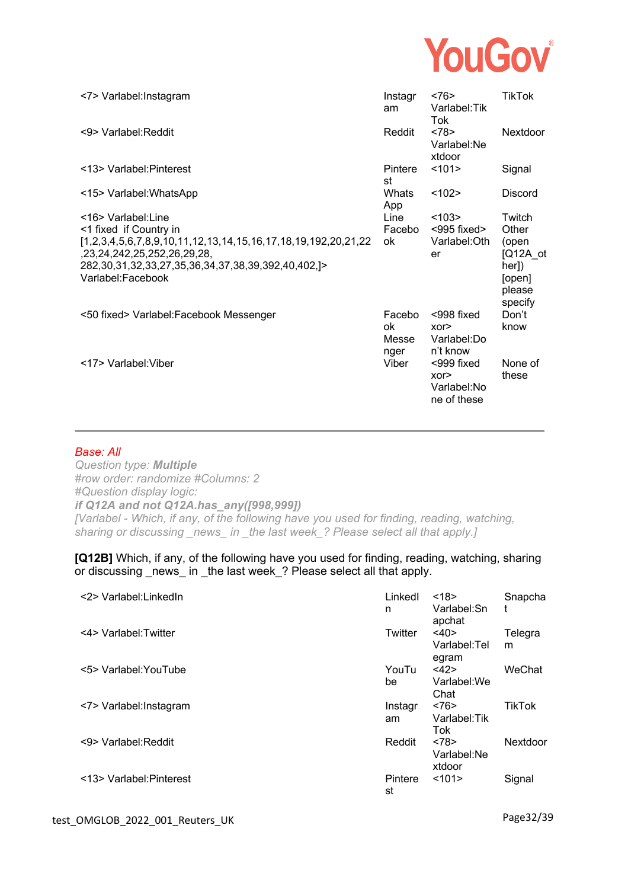

| <7> Varlabel: Instagram                                                                                                                                                                    | Instagr<br>am                 | <76<br>Varlabel: Tik<br>Tok                     | TikTok                                                        |
|--------------------------------------------------------------------------------------------------------------------------------------------------------------------------------------------|-------------------------------|-------------------------------------------------|---------------------------------------------------------------|
| <9> Varlabel: Reddit                                                                                                                                                                       | Reddit                        | <78><br>Varlabel:Ne<br>xtdoor                   | Nextdoor                                                      |
| <13> Varlabel: Pinterest                                                                                                                                                                   | Pintere<br>st                 | <101                                            | Signal                                                        |
| <15> Varlabel: WhatsApp                                                                                                                                                                    | Whats<br>App                  | < 102                                           | <b>Discord</b>                                                |
| <16> Varlabel:Line                                                                                                                                                                         | Line                          | < 103                                           | Twitch                                                        |
| <1 fixed if Country in                                                                                                                                                                     | Facebo                        | <995 fixed>                                     | Other                                                         |
| [1,2,3,4,5,6,7,8,9,10,11,12,13,14,15,16,17,18,19,192,20,21,22<br>,23,24,242,25,252,26,29,28,<br>282, 30, 31, 32, 33, 27, 35, 36, 34, 37, 38, 39, 392, 40, 402, $\geq$<br>Varlabel:Facebook | ok                            | Varlabel: Oth<br>er                             | (open<br>$[Q12A \;ot$<br>her])<br>[open]<br>please<br>specify |
| <50 fixed> Varlabel:Facebook Messenger                                                                                                                                                     | Facebo<br>ok<br>Messe<br>nger | $<$ 998 fixed<br>XOT<br>Varlabel:Do<br>n't know | Don't<br>know                                                 |
| <17> Varlabel: Viber                                                                                                                                                                       | Viber                         | <999 fixed<br>XOT<br>Varlabel:No<br>ne of these | None of<br>these                                              |

#### *Base: All*

*Question type: Multiple #row order: randomize #Columns: 2 #Question display logic: if Q12A and not Q12A.has\_any([998,999]) [Varlabel - Which, if any, of the following have you used for finding, reading, watching, sharing or discussing \_news\_ in \_the last week\_? Please select all that apply.]* 

**[Q12B]** Which, if any, of the following have you used for finding, reading, watching, sharing or discussing news in the last week ? Please select all that apply.

| <2> Varlabel:LinkedIn    | Linkedl<br>n  | <18><br>Varlabel:Sn<br>apchat | Snapcha<br>t  |
|--------------------------|---------------|-------------------------------|---------------|
| <4> Varlabel: Twitter    | Twitter       | <40><br>Varlabel:Tel<br>egram | Telegra<br>m  |
| <5> Varlabel: YouTube    | YouTu<br>be   | <42><br>Varlabel:We<br>Chat   | WeChat        |
| <7> Varlabel: Instagram  | Instagr<br>am | <76<br>Varlabel: Tik<br>Tok   | <b>TikTok</b> |
| <9> Varlabel: Reddit     | Reddit        | <78<br>Varlabel:Ne<br>xtdoor  | Nextdoor      |
| <13> Varlabel: Pinterest | Pintere<br>st | <101>                         | Signal        |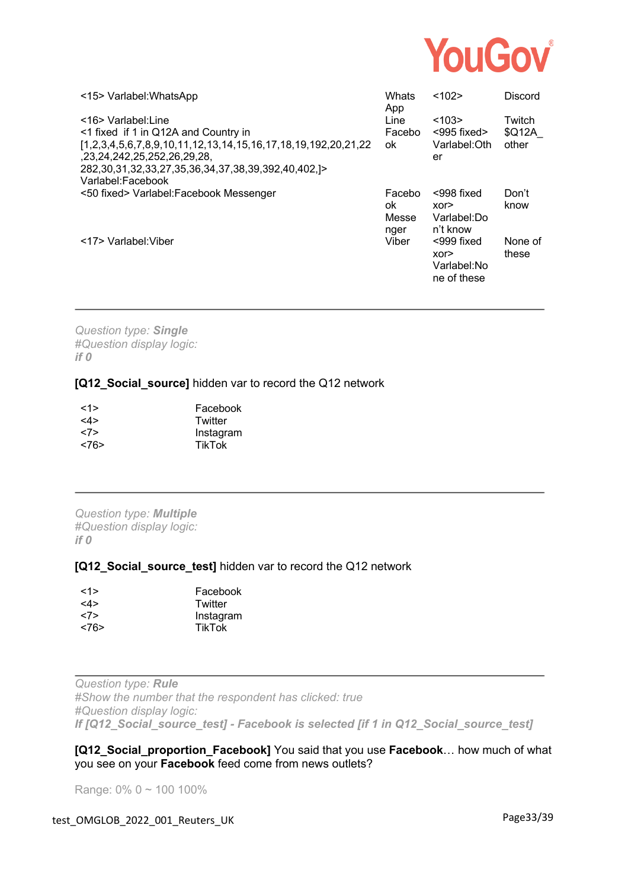

| <15> Varlabel: WhatsApp                                                                                                                                                                                                                                    | Whats<br>App                  | <102>                                             | <b>Discord</b>            |
|------------------------------------------------------------------------------------------------------------------------------------------------------------------------------------------------------------------------------------------------------------|-------------------------------|---------------------------------------------------|---------------------------|
| <16> Varlabel:Line<br><1 fixed if 1 in Q12A and Country in<br>$[1,2,3,4,5,6,7,8,9,10,11,12,13,14,15,16,17,18,19,192,20,21,22]$<br>.23.24.242.25.252.26.29.28<br>282, 30, 31, 32, 33, 27, 35, 36, 34, 37, 38, 39, 392, 40, 402, $\geq$<br>Varlabel:Facebook | Line<br>Facebo<br>ok          | < 103<br>$<$ 995 fixed $>$<br>Varlabel: Oth<br>er | Twitch<br>\$Q12A<br>other |
| <50 fixed> Varlabel:Facebook Messenger                                                                                                                                                                                                                     | Facebo<br>ok<br>Messe<br>nger | $<$ 998 fixed<br>XOP<br>Varlabel:Do<br>n't know   | Don't<br>know             |
| <17> Varlabel: Viber                                                                                                                                                                                                                                       | Viber                         | <999 fixed<br>XOP<br>Varlabel:No<br>ne of these   | None of<br>these          |

*Question type: Single #Question display logic: if 0* 

### **[Q12\_Social\_source]** hidden var to record the Q12 network

| $\le$ 1>      | Facebook      |
|---------------|---------------|
| $<\!\!4\!\!>$ | Twitter       |
| <7>           | Instagram     |
| <76           | <b>TikTok</b> |

*Question type: Multiple #Question display logic: if 0* 

#### **[Q12\_Social\_source\_test]** hidden var to record the Q12 network

| <1>  | Facebook      |
|------|---------------|
| <4>  | Twitter       |
| <7>  | Instagram     |
| <76> | <b>TikTok</b> |

*Question type: Rule #Show the number that the respondent has clicked: true #Question display logic: If [Q12\_Social\_source\_test] - Facebook is selected [if 1 in Q12\_Social\_source\_test]* 

**[Q12\_Social\_proportion\_Facebook]** You said that you use **Facebook**… how much of what you see on your **Facebook** feed come from news outlets?

Range: 0% 0 ~ 100 100%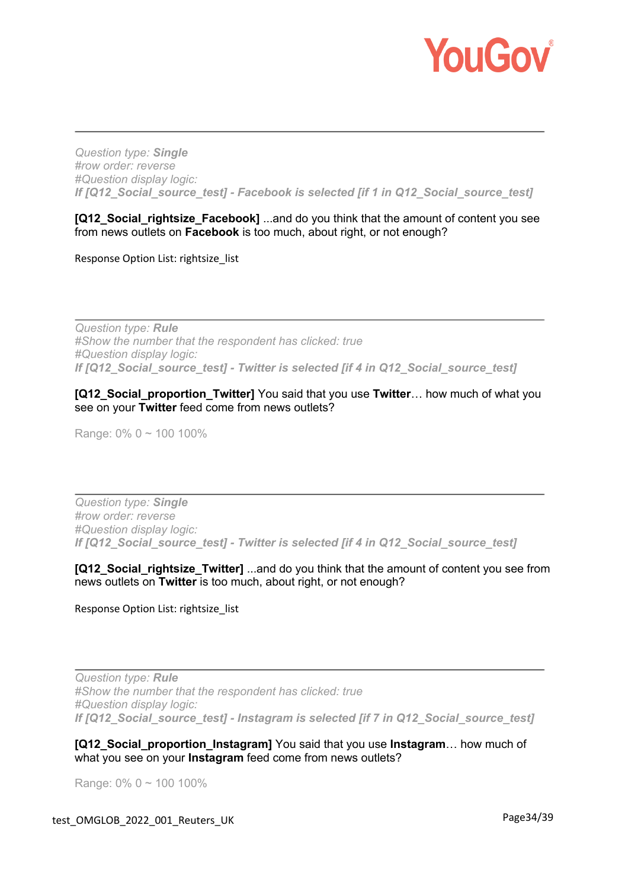

*Question type: Single #row order: reverse #Question display logic: If [Q12\_Social\_source\_test] - Facebook is selected [if 1 in Q12\_Social\_source\_test]* 

**[Q12 Social rightsize Facebook]** ...and do you think that the amount of content you see from news outlets on **Facebook** is too much, about right, or not enough?

Response Option List: rightsize\_list

*Question type: Rule #Show the number that the respondent has clicked: true #Question display logic: If [Q12\_Social\_source\_test] - Twitter is selected [if 4 in Q12\_Social\_source\_test]* 

### **[Q12\_Social\_proportion\_Twitter]** You said that you use **Twitter**… how much of what you see on your **Twitter** feed come from news outlets?

Range: 0% 0 ~ 100 100%

*Question type: Single #row order: reverse #Question display logic: If [Q12\_Social\_source\_test] - Twitter is selected [if 4 in Q12\_Social\_source\_test]* 

**[Q12\_Social\_rightsize\_Twitter]** ...and do you think that the amount of content you see from news outlets on **Twitter** is too much, about right, or not enough?

Response Option List: rightsize\_list

*Question type: Rule #Show the number that the respondent has clicked: true #Question display logic: If [Q12\_Social\_source\_test] - Instagram is selected [if 7 in Q12\_Social\_source\_test]* 

**[Q12\_Social\_proportion\_Instagram]** You said that you use **Instagram**… how much of what you see on your **Instagram** feed come from news outlets?

Range: 0% 0 ~ 100 100%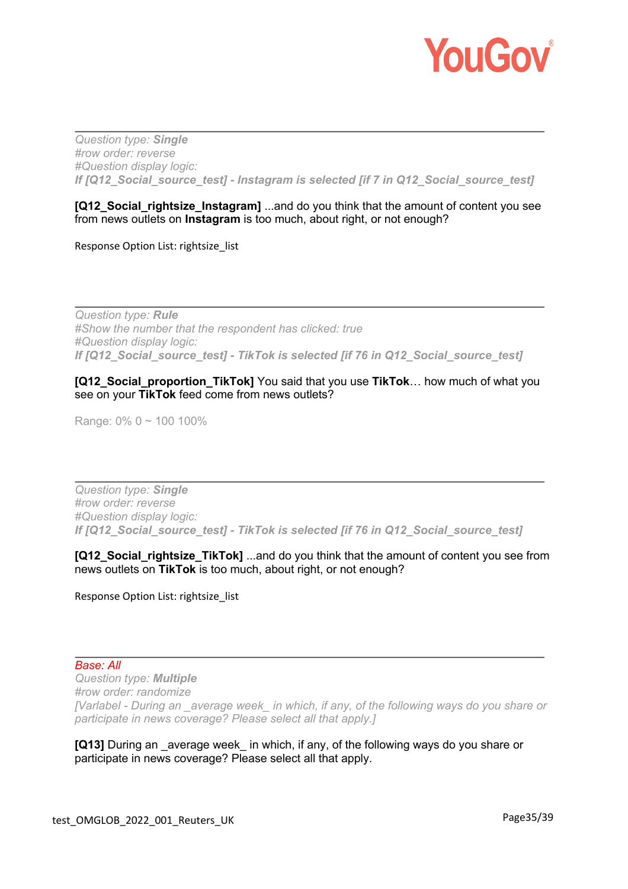

*Question type: Single #row order: reverse #Question display logic: If [Q12\_Social\_source\_test] - Instagram is selected [if 7 in Q12\_Social\_source\_test]* 

# **[Q12\_Social\_rightsize\_Instagram]** ...and do you think that the amount of content you see from news outlets on **Instagram** is too much, about right, or not enough?

Response Option List: rightsize list

*Question type: Rule #Show the number that the respondent has clicked: true #Question display logic: If [Q12\_Social\_source\_test] - TikTok is selected [if 76 in Q12\_Social\_source\_test]* 

### **[Q12\_Social\_proportion\_TikTok]** You said that you use **TikTok**… how much of what you see on your **TikTok** feed come from news outlets?

Range: 0% 0 ~ 100 100%

*Question type: Single #row order: reverse #Question display logic: If [Q12\_Social\_source\_test] - TikTok is selected [if 76 in Q12\_Social\_source\_test]* 

**[Q12 Social rightsize TikTok]** ...and do you think that the amount of content you see from news outlets on **TikTok** is too much, about right, or not enough?

Response Option List: rightsize list

#### *Base: All*

*Question type: Multiple #row order: randomize [Varlabel - During an \_average week\_ in which, if any, of the following ways do you share or participate in news coverage? Please select all that apply.]* 

**[Q13]** During an average week in which, if any, of the following ways do you share or participate in news coverage? Please select all that apply.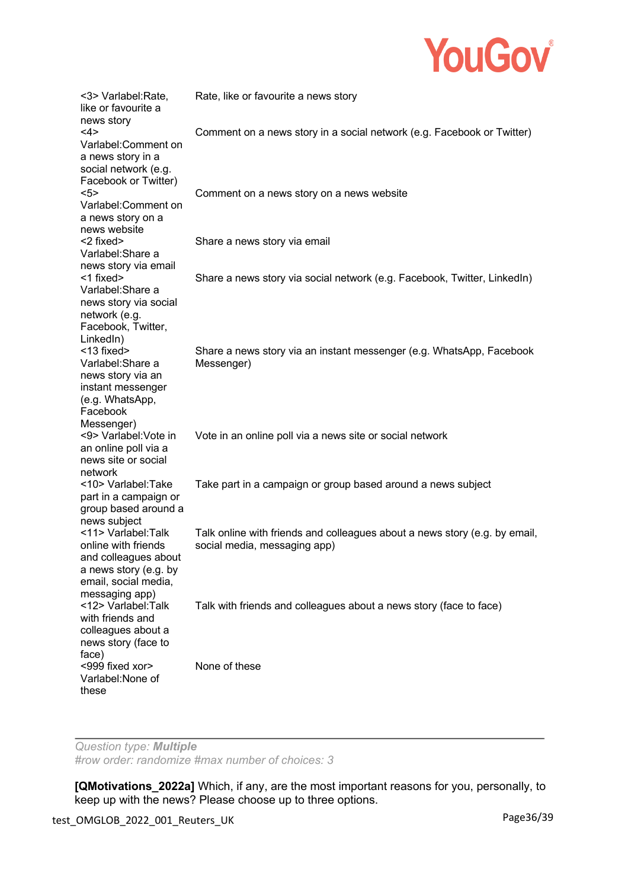

| <3> Varlabel:Rate,<br>like or favourite a<br>news story                                                                              | Rate, like or favourite a news story                                                                       |
|--------------------------------------------------------------------------------------------------------------------------------------|------------------------------------------------------------------------------------------------------------|
| <4><br>Varlabel:Comment on<br>a news story in a<br>social network (e.g.<br>Facebook or Twitter)                                      | Comment on a news story in a social network (e.g. Facebook or Twitter)                                     |
| 5 ><br>Varlabel:Comment on<br>a news story on a<br>news website                                                                      | Comment on a news story on a news website                                                                  |
| <2 fixed><br>Varlabel: Share a<br>news story via email                                                                               | Share a news story via email                                                                               |
| <1 fixed><br>Varlabel: Share a<br>news story via social<br>network (e.g.<br>Facebook, Twitter,<br>LinkedIn)                          | Share a news story via social network (e.g. Facebook, Twitter, LinkedIn)                                   |
| <13 fixed><br>Varlabel: Share a<br>news story via an<br>instant messenger<br>(e.g. WhatsApp,<br>Facebook<br>Messenger)               | Share a news story via an instant messenger (e.g. WhatsApp, Facebook<br>Messenger)                         |
| <9> Varlabel: Vote in<br>an online poll via a<br>news site or social<br>network                                                      | Vote in an online poll via a news site or social network                                                   |
| <10> Varlabel:Take<br>part in a campaign or<br>group based around a<br>news subject                                                  | Take part in a campaign or group based around a news subject                                               |
| <11> Varlabel:Talk<br>online with friends<br>and colleagues about<br>a news story (e.g. by<br>email, social media,<br>messaging app) | Talk online with friends and colleagues about a news story (e.g. by email,<br>social media, messaging app) |
| <12> Varlabel:Talk<br>with friends and<br>colleagues about a<br>news story (face to<br>face)                                         | Talk with friends and colleagues about a news story (face to face)                                         |
| <999 fixed xor><br>Varlabel: None of<br>these                                                                                        | None of these                                                                                              |

*Question type: Multiple #row order: randomize #max number of choices: 3*

**[QMotivations\_2022a]** Which, if any, are the most important reasons for you, personally, to keep up with the news? Please choose up to three options.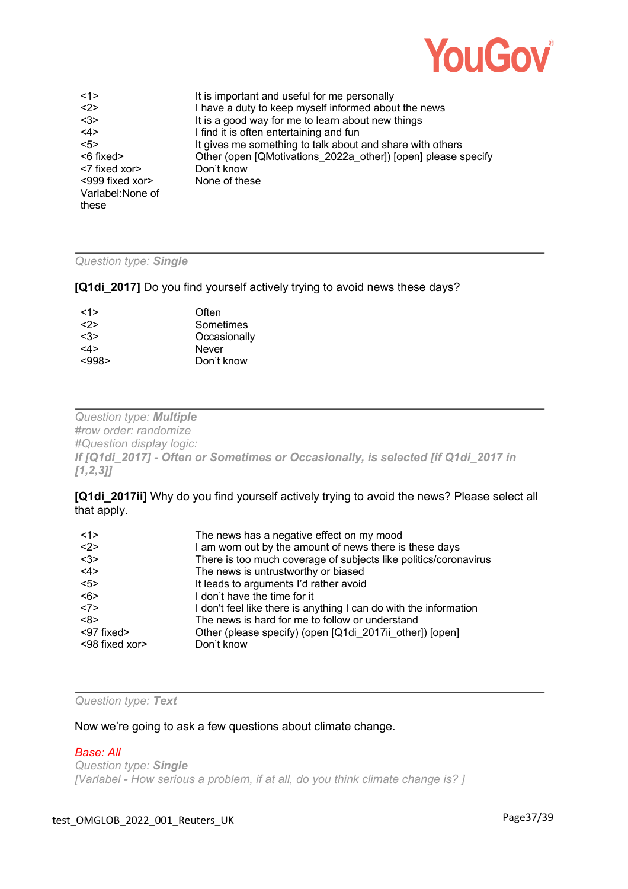

| <1>               | It is important and useful for me personally                  |
|-------------------|---------------------------------------------------------------|
| <2>               | I have a duty to keep myself informed about the news          |
| <3>               | It is a good way for me to learn about new things             |
| <4>               | I find it is often entertaining and fun                       |
| 55                | It gives me something to talk about and share with others     |
| <6 fixed>         | Other (open [QMotivations 2022a other]) [open] please specify |
| <7 fixed xor>     | Don't know                                                    |
| <999 fixed xor>   | None of these                                                 |
| Varlabel: None of |                                                               |
| these             |                                                               |

### *Question type: Single*

**[Q1di\_2017]** Do you find yourself actively trying to avoid news these days?

| Often        |
|--------------|
| Sometimes    |
| Occasionally |
| Never        |
| Don't know   |
|              |

*Question type: Multiple #row order: randomize #Question display logic: If [Q1di\_2017] - Often or Sometimes or Occasionally, is selected [if Q1di\_2017 in [1,2,3]]* 

**[Q1di\_2017ii]** Why do you find yourself actively trying to avoid the news? Please select all that apply.

| <1>            | The news has a negative effect on my mood                         |
|----------------|-------------------------------------------------------------------|
| <2>            | I am worn out by the amount of news there is these days           |
| <3>            | There is too much coverage of subjects like politics/coronavirus  |
| <4>            | The news is untrustworthy or biased                               |
| 5              | It leads to arguments I'd rather avoid                            |
| <6>            | I don't have the time for it                                      |
| <7>            | I don't feel like there is anything I can do with the information |
| <8>            | The news is hard for me to follow or understand                   |
| <97 fixed>     | Other (please specify) (open [Q1di 2017ii other]) [open]          |
| <98 fixed xor> | Don't know                                                        |

*Question type: Text*

Now we're going to ask a few questions about climate change.

#### *Base: All*

*Question type: Single [Varlabel - How serious a problem, if at all, do you think climate change is? ]*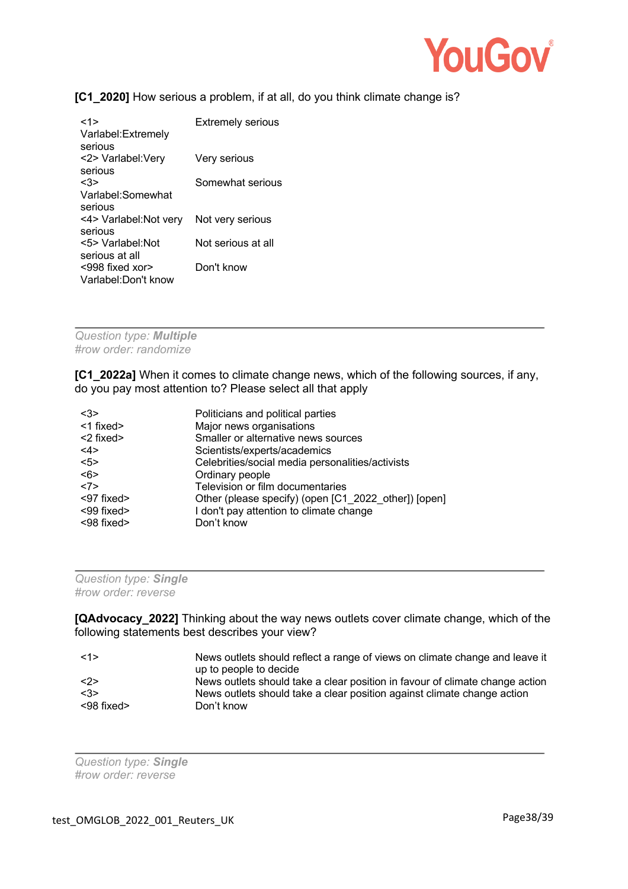

# **[C1\_2020]** How serious a problem, if at all, do you think climate change is?

| <1><br>Varlabel: Extremely<br>serious | <b>Extremely serious</b> |
|---------------------------------------|--------------------------|
| <2> Varlabel:Very                     | Very serious             |
| serious                               |                          |
| <3>                                   | Somewhat serious         |
| Varlabel:Somewhat                     |                          |
| serious                               |                          |
| <4> Varlabel: Not very                | Not very serious         |
| serious                               |                          |
| <5> Varlabel Not                      | Not serious at all       |
| serious at all                        |                          |
| $<$ 998 fixed xor>                    | Don't know               |
| Varlabel:Don't know                   |                          |

*Question type: Multiple #row order: randomize*

**[C1\_2022a]** When it comes to climate change news, which of the following sources, if any, do you pay most attention to? Please select all that apply

| $3$             | Politicians and political parties                    |
|-----------------|------------------------------------------------------|
| <1 fixed>       | Major news organisations                             |
| $<$ 2 fixed $>$ | Smaller or alternative news sources                  |
| <4>             | Scientists/experts/academics                         |
| $5$             | Celebrities/social media personalities/activists     |
| <6>             | Ordinary people                                      |
| <7>             | Television or film documentaries                     |
| <97 fixed>      | Other (please specify) (open [C1_2022_other]) [open] |
| <99 fixed>      | I don't pay attention to climate change              |
| <98 fixed>      | Don't know                                           |

| Question type: Single |  |  |  |
|-----------------------|--|--|--|
| #row order: reverse   |  |  |  |

**[QAdvocacy 2022]** Thinking about the way news outlets cover climate change, which of the following statements best describes your view?

| <1>                 | News outlets should reflect a range of views on climate change and leave it<br>up to people to decide |
|---------------------|-------------------------------------------------------------------------------------------------------|
| $\langle 2 \rangle$ | News outlets should take a clear position in favour of climate change action                          |
| <3>                 | News outlets should take a clear position against climate change action                               |
| $<$ 98 fixed $>$    | Don't know                                                                                            |

*Question type: Single #row order: reverse*